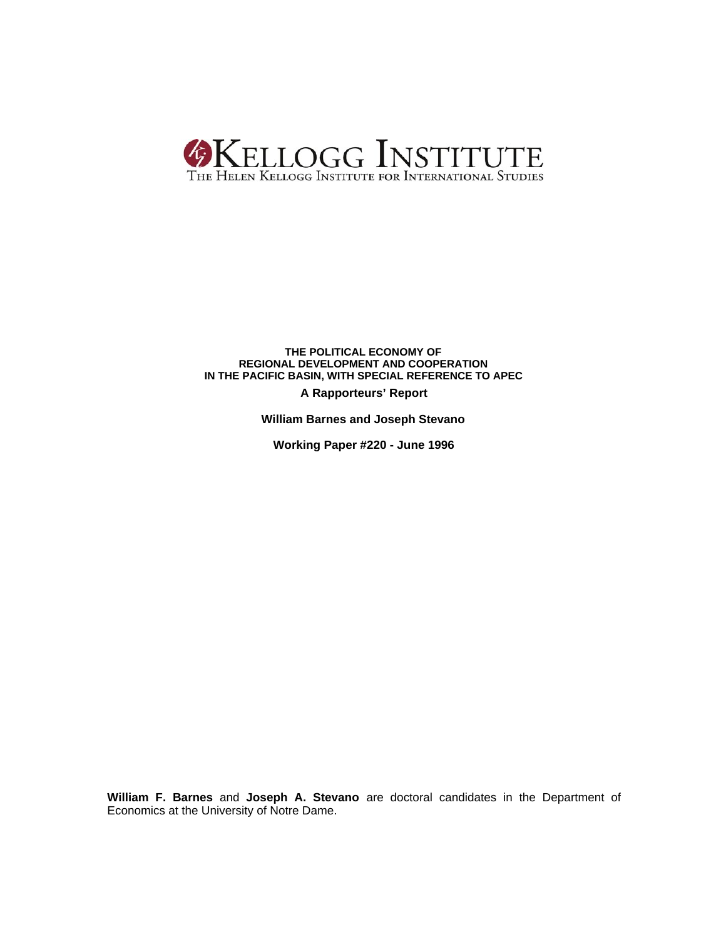

# **THE POLITICAL ECONOMY OF REGIONAL DEVELOPMENT AND COOPERATION IN THE PACIFIC BASIN, WITH SPECIAL REFERENCE TO APEC**

**A Rapporteurs' Report**

**William Barnes and Joseph Stevano**

**Working Paper #220 - June 1996**

**William F. Barnes** and **Joseph A. Stevano** are doctoral candidates in the Department of Economics at the University of Notre Dame.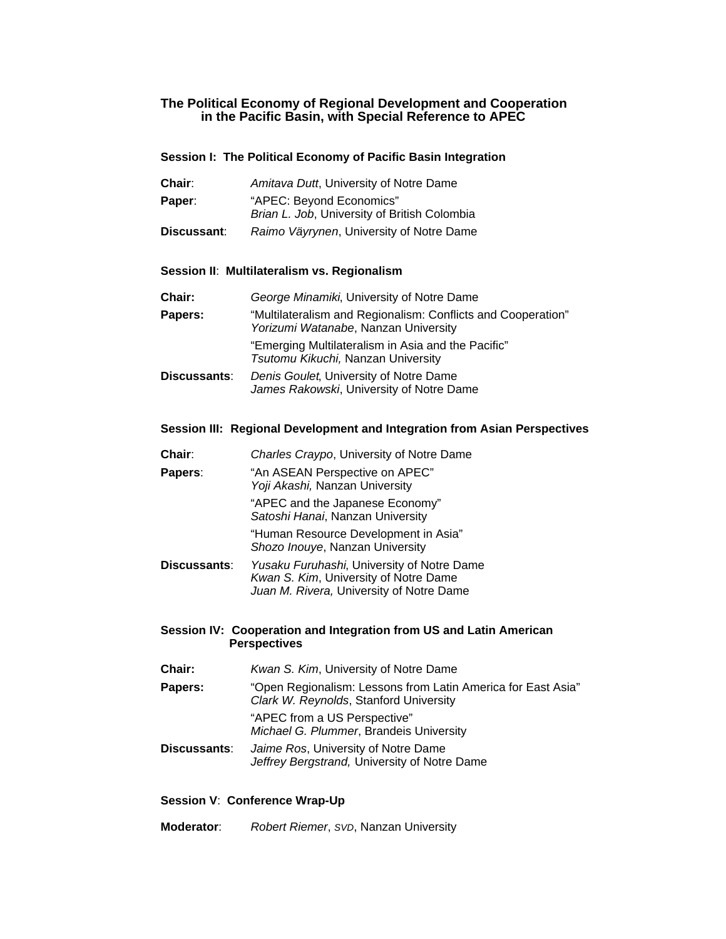# **The Political Economy of Regional Development and Cooperation in the Pacific Basin, with Special Reference to APEC**

# **Session I: The Political Economy of Pacific Basin Integration**

- **Chair**: *Amitava Dutt*, University of Notre Dame
- Paper: "APEC: Beyond Economics" *Brian L. Job*, University of British Colombia
- **Discussant**: *Raimo Väyrynen*, University of Notre Dame

# **Session II**: **Multilateralism vs. Regionalism**

| Chair:       | George Minamiki, University of Notre Dame                                                            |
|--------------|------------------------------------------------------------------------------------------------------|
| Papers:      | "Multilateralism and Regionalism: Conflicts and Cooperation"<br>Yorizumi Watanabe, Nanzan University |
|              | "Emerging Multilateralism in Asia and the Pacific"<br>Tsutomu Kikuchi, Nanzan University             |
| Discussants: | Denis Goulet, University of Notre Dame<br>James Rakowski, University of Notre Dame                   |

# **Session III: Regional Development and Integration from Asian Perspectives**

| Chair:       | Charles Craypo, University of Notre Dame                                |
|--------------|-------------------------------------------------------------------------|
| Papers:      | "An ASEAN Perspective on APEC"<br>Yoji Akashi, Nanzan University        |
|              | "APEC and the Japanese Economy"<br>Satoshi Hanai, Nanzan University     |
|              | "Human Resource Development in Asia"<br>Shozo Inouye, Nanzan University |
| Discussants: | Yusaku Furuhashi, University of Notre Dame                              |

# *Kwan S. Kim*, University of Notre Dame *Juan M. Rivera,* University of Notre Dame

# **Session IV: Cooperation and Integration from US and Latin American Perspectives**

| Chair:       | Kwan S. Kim, University of Notre Dame                                                                  |
|--------------|--------------------------------------------------------------------------------------------------------|
| Papers:      | "Open Regionalism: Lessons from Latin America for East Asia"<br>Clark W. Reynolds, Stanford University |
|              | "APEC from a US Perspective"<br>Michael G. Plummer, Brandeis University                                |
| Discussants: | Jaime Ros, University of Notre Dame<br>Jeffrey Bergstrand, University of Notre Dame                    |

# **Session V**: **Conference Wrap-Up**

**Moderator**: *Robert Riemer*, *SVD*, Nanzan University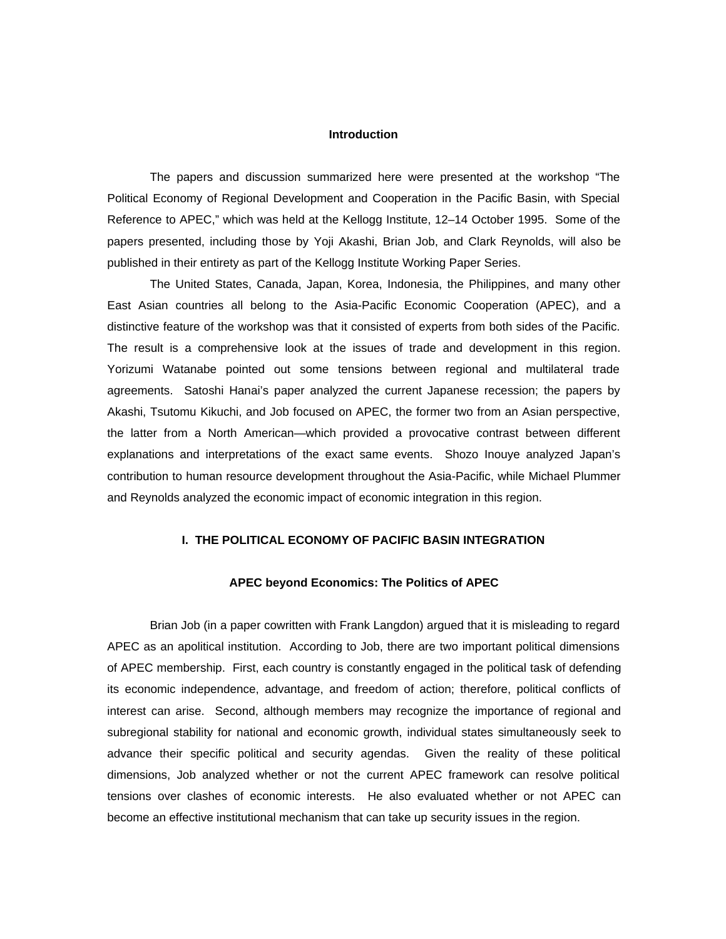#### **Introduction**

The papers and discussion summarized here were presented at the workshop "The Political Economy of Regional Development and Cooperation in the Pacific Basin, with Special Reference to APEC," which was held at the Kellogg Institute, 12–14 October 1995. Some of the papers presented, including those by Yoji Akashi, Brian Job, and Clark Reynolds, will also be published in their entirety as part of the Kellogg Institute Working Paper Series.

The United States, Canada, Japan, Korea, Indonesia, the Philippines, and many other East Asian countries all belong to the Asia-Pacific Economic Cooperation (APEC), and a distinctive feature of the workshop was that it consisted of experts from both sides of the Pacific. The result is a comprehensive look at the issues of trade and development in this region. Yorizumi Watanabe pointed out some tensions between regional and multilateral trade agreements. Satoshi Hanai's paper analyzed the current Japanese recession; the papers by Akashi, Tsutomu Kikuchi, and Job focused on APEC, the former two from an Asian perspective, the latter from a North American—which provided a provocative contrast between different explanations and interpretations of the exact same events. Shozo Inouye analyzed Japan's contribution to human resource development throughout the Asia-Pacific, while Michael Plummer and Reynolds analyzed the economic impact of economic integration in this region.

# **I. THE POLITICAL ECONOMY OF PACIFIC BASIN INTEGRATION**

# **APEC beyond Economics: The Politics of APEC**

Brian Job (in a paper cowritten with Frank Langdon) argued that it is misleading to regard APEC as an apolitical institution. According to Job, there are two important political dimensions of APEC membership. First, each country is constantly engaged in the political task of defending its economic independence, advantage, and freedom of action; therefore, political conflicts of interest can arise. Second, although members may recognize the importance of regional and subregional stability for national and economic growth, individual states simultaneously seek to advance their specific political and security agendas. Given the reality of these political dimensions, Job analyzed whether or not the current APEC framework can resolve political tensions over clashes of economic interests. He also evaluated whether or not APEC can become an effective institutional mechanism that can take up security issues in the region.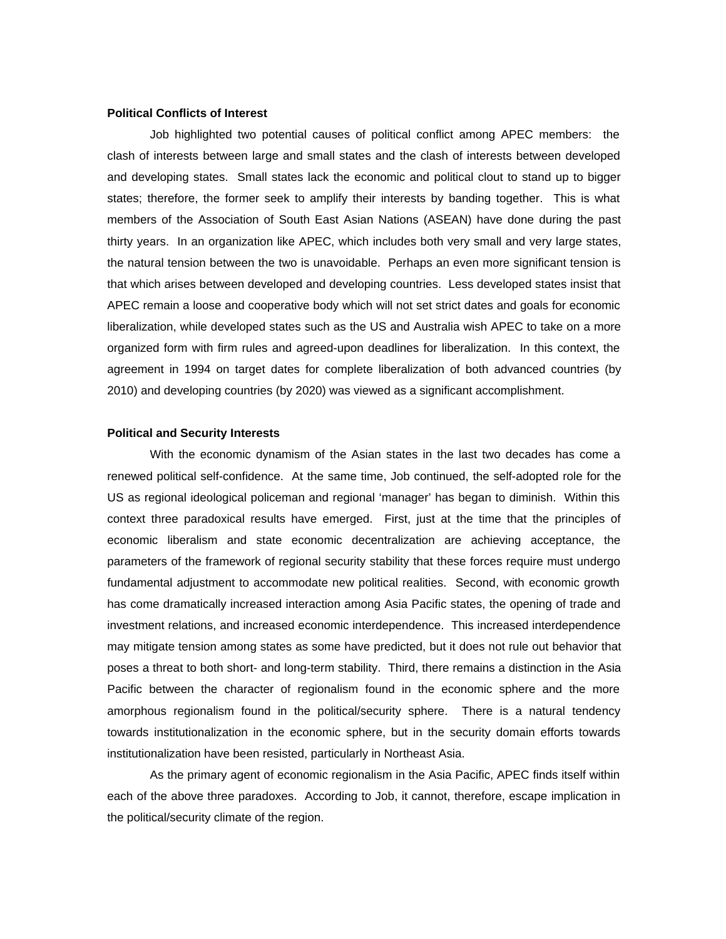# **Political Conflicts of Interest**

Job highlighted two potential causes of political conflict among APEC members: the clash of interests between large and small states and the clash of interests between developed and developing states. Small states lack the economic and political clout to stand up to bigger states; therefore, the former seek to amplify their interests by banding together. This is what members of the Association of South East Asian Nations (ASEAN) have done during the past thirty years. In an organization like APEC, which includes both very small and very large states, the natural tension between the two is unavoidable. Perhaps an even more significant tension is that which arises between developed and developing countries. Less developed states insist that APEC remain a loose and cooperative body which will not set strict dates and goals for economic liberalization, while developed states such as the US and Australia wish APEC to take on a more organized form with firm rules and agreed-upon deadlines for liberalization. In this context, the agreement in 1994 on target dates for complete liberalization of both advanced countries (by 2010) and developing countries (by 2020) was viewed as a significant accomplishment.

# **Political and Security Interests**

With the economic dynamism of the Asian states in the last two decades has come a renewed political self-confidence. At the same time, Job continued, the self-adopted role for the US as regional ideological policeman and regional 'manager' has began to diminish. Within this context three paradoxical results have emerged. First, just at the time that the principles of economic liberalism and state economic decentralization are achieving acceptance, the parameters of the framework of regional security stability that these forces require must undergo fundamental adjustment to accommodate new political realities. Second, with economic growth has come dramatically increased interaction among Asia Pacific states, the opening of trade and investment relations, and increased economic interdependence. This increased interdependence may mitigate tension among states as some have predicted, but it does not rule out behavior that poses a threat to both short- and long-term stability. Third, there remains a distinction in the Asia Pacific between the character of regionalism found in the economic sphere and the more amorphous regionalism found in the political/security sphere. There is a natural tendency towards institutionalization in the economic sphere, but in the security domain efforts towards institutionalization have been resisted, particularly in Northeast Asia.

As the primary agent of economic regionalism in the Asia Pacific, APEC finds itself within each of the above three paradoxes. According to Job, it cannot, therefore, escape implication in the political/security climate of the region.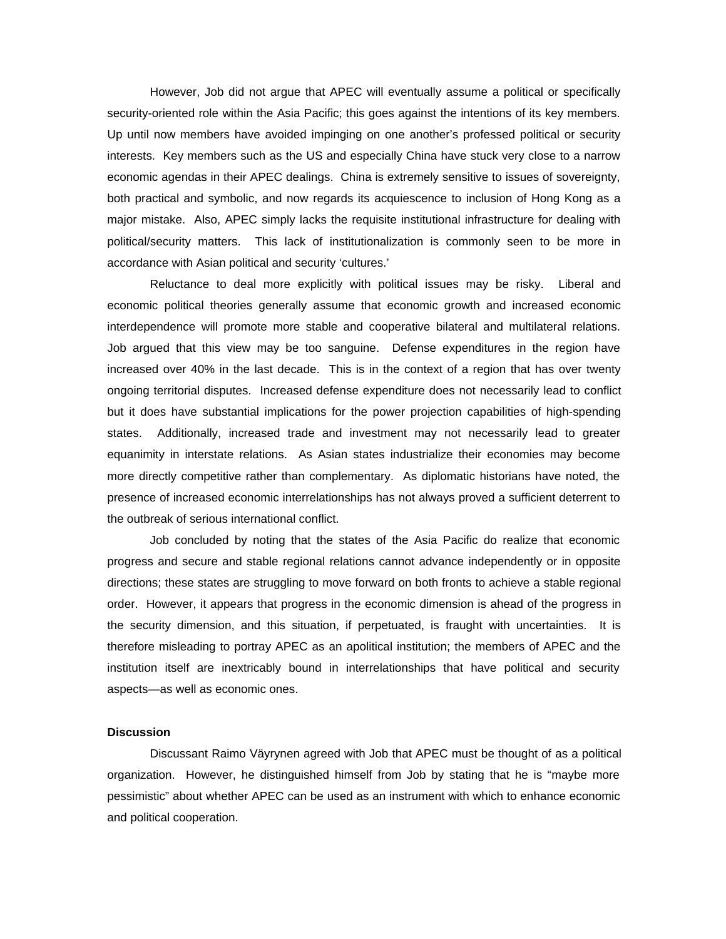However, Job did not argue that APEC will eventually assume a political or specifically security-oriented role within the Asia Pacific; this goes against the intentions of its key members. Up until now members have avoided impinging on one another's professed political or security interests. Key members such as the US and especially China have stuck very close to a narrow economic agendas in their APEC dealings. China is extremely sensitive to issues of sovereignty, both practical and symbolic, and now regards its acquiescence to inclusion of Hong Kong as a major mistake. Also, APEC simply lacks the requisite institutional infrastructure for dealing with political/security matters. This lack of institutionalization is commonly seen to be more in accordance with Asian political and security 'cultures.'

Reluctance to deal more explicitly with political issues may be risky. Liberal and economic political theories generally assume that economic growth and increased economic interdependence will promote more stable and cooperative bilateral and multilateral relations. Job argued that this view may be too sanguine. Defense expenditures in the region have increased over 40% in the last decade. This is in the context of a region that has over twenty ongoing territorial disputes. Increased defense expenditure does not necessarily lead to conflict but it does have substantial implications for the power projection capabilities of high-spending states. Additionally, increased trade and investment may not necessarily lead to greater equanimity in interstate relations. As Asian states industrialize their economies may become more directly competitive rather than complementary. As diplomatic historians have noted, the presence of increased economic interrelationships has not always proved a sufficient deterrent to the outbreak of serious international conflict.

Job concluded by noting that the states of the Asia Pacific do realize that economic progress and secure and stable regional relations cannot advance independently or in opposite directions; these states are struggling to move forward on both fronts to achieve a stable regional order. However, it appears that progress in the economic dimension is ahead of the progress in the security dimension, and this situation, if perpetuated, is fraught with uncertainties. It is therefore misleading to portray APEC as an apolitical institution; the members of APEC and the institution itself are inextricably bound in interrelationships that have political and security aspects—as well as economic ones.

# **Discussion**

Discussant Raimo Väyrynen agreed with Job that APEC must be thought of as a political organization. However, he distinguished himself from Job by stating that he is "maybe more pessimistic" about whether APEC can be used as an instrument with which to enhance economic and political cooperation.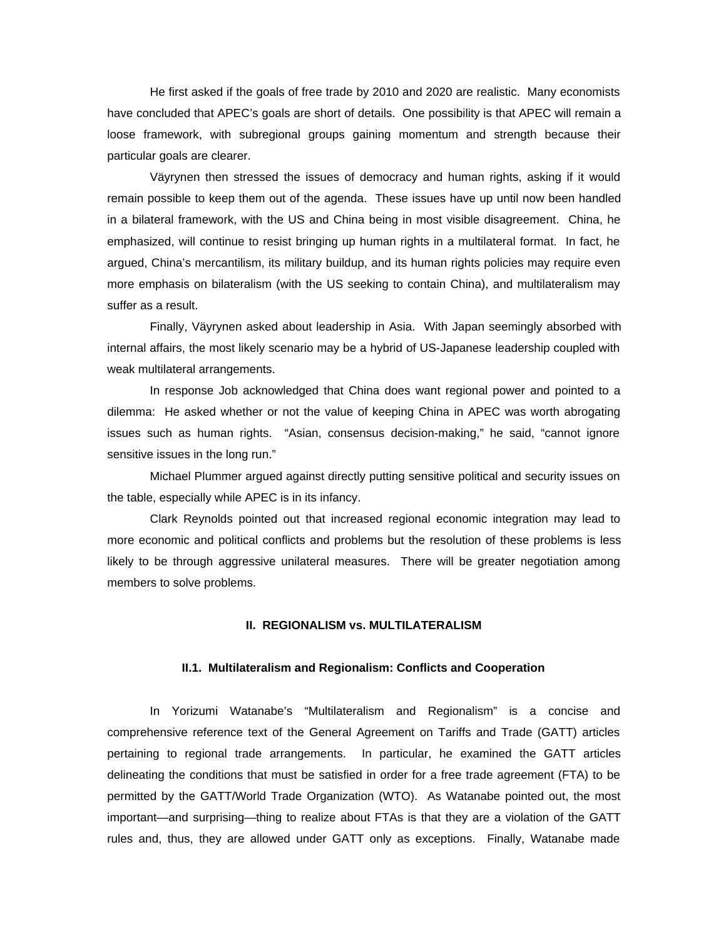He first asked if the goals of free trade by 2010 and 2020 are realistic. Many economists have concluded that APEC's goals are short of details. One possibility is that APEC will remain a loose framework, with subregional groups gaining momentum and strength because their particular goals are clearer.

Väyrynen then stressed the issues of democracy and human rights, asking if it would remain possible to keep them out of the agenda. These issues have up until now been handled in a bilateral framework, with the US and China being in most visible disagreement. China, he emphasized, will continue to resist bringing up human rights in a multilateral format. In fact, he argued, China's mercantilism, its military buildup, and its human rights policies may require even more emphasis on bilateralism (with the US seeking to contain China), and multilateralism may suffer as a result.

Finally, Väyrynen asked about leadership in Asia. With Japan seemingly absorbed with internal affairs, the most likely scenario may be a hybrid of US-Japanese leadership coupled with weak multilateral arrangements.

In response Job acknowledged that China does want regional power and pointed to a dilemma: He asked whether or not the value of keeping China in APEC was worth abrogating issues such as human rights. "Asian, consensus decision-making," he said, "cannot ignore sensitive issues in the long run."

Michael Plummer argued against directly putting sensitive political and security issues on the table, especially while APEC is in its infancy.

Clark Reynolds pointed out that increased regional economic integration may lead to more economic and political conflicts and problems but the resolution of these problems is less likely to be through aggressive unilateral measures. There will be greater negotiation among members to solve problems.

# **II. REGIONALISM vs. MULTILATERALISM**

# **II.1. Multilateralism and Regionalism: Conflicts and Cooperation**

In Yorizumi Watanabe's "Multilateralism and Regionalism" is a concise and comprehensive reference text of the General Agreement on Tariffs and Trade (GATT) articles pertaining to regional trade arrangements. In particular, he examined the GATT articles delineating the conditions that must be satisfied in order for a free trade agreement (FTA) to be permitted by the GATT/World Trade Organization (WTO). As Watanabe pointed out, the most important—and surprising—thing to realize about FTAs is that they are a violation of the GATT rules and, thus, they are allowed under GATT only as exceptions. Finally, Watanabe made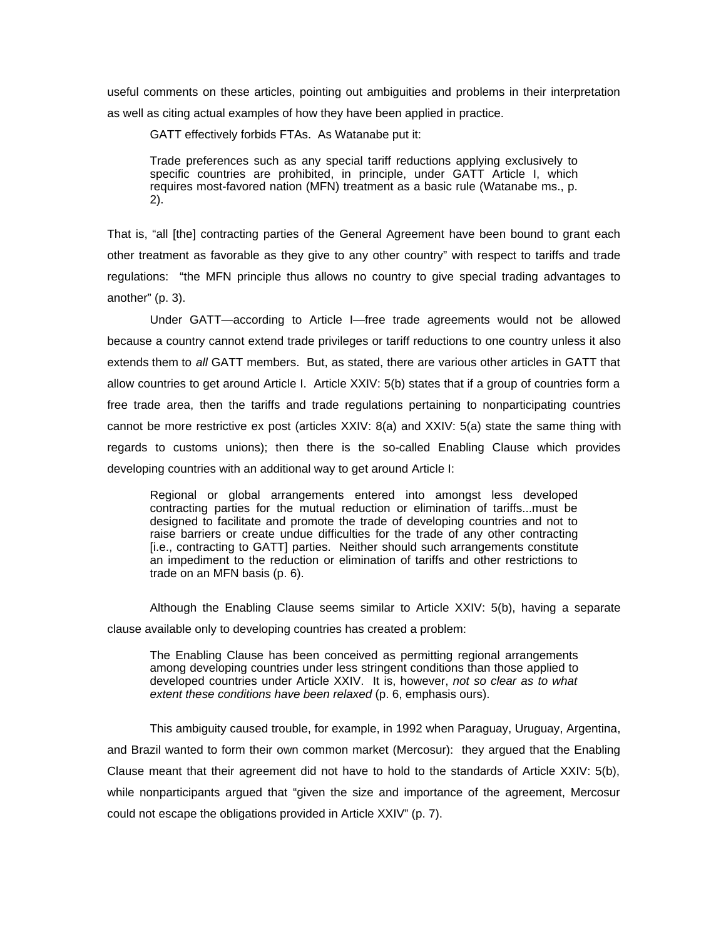useful comments on these articles, pointing out ambiguities and problems in their interpretation as well as citing actual examples of how they have been applied in practice.

GATT effectively forbids FTAs. As Watanabe put it:

Trade preferences such as any special tariff reductions applying exclusively to specific countries are prohibited, in principle, under GATT Article I, which requires most-favored nation (MFN) treatment as a basic rule (Watanabe ms., p. 2).

That is, "all [the] contracting parties of the General Agreement have been bound to grant each other treatment as favorable as they give to any other country" with respect to tariffs and trade regulations: "the MFN principle thus allows no country to give special trading advantages to another" (p. 3).

Under GATT—according to Article I—free trade agreements would not be allowed because a country cannot extend trade privileges or tariff reductions to one country unless it also extends them to *all* GATT members. But, as stated, there are various other articles in GATT that allow countries to get around Article I. Article XXIV: 5(b) states that if a group of countries form a free trade area, then the tariffs and trade regulations pertaining to nonparticipating countries cannot be more restrictive ex post (articles XXIV: 8(a) and XXIV: 5(a) state the same thing with regards to customs unions); then there is the so-called Enabling Clause which provides developing countries with an additional way to get around Article I:

Regional or global arrangements entered into amongst less developed contracting parties for the mutual reduction or elimination of tariffs...must be designed to facilitate and promote the trade of developing countries and not to raise barriers or create undue difficulties for the trade of any other contracting [i.e., contracting to GATT] parties. Neither should such arrangements constitute an impediment to the reduction or elimination of tariffs and other restrictions to trade on an MFN basis (p. 6).

Although the Enabling Clause seems similar to Article XXIV: 5(b), having a separate clause available only to developing countries has created a problem:

The Enabling Clause has been conceived as permitting regional arrangements among developing countries under less stringent conditions than those applied to developed countries under Article XXIV. It is, however, *not so clear as to what extent these conditions have been relaxed* (p. 6, emphasis ours).

This ambiguity caused trouble, for example, in 1992 when Paraguay, Uruguay, Argentina, and Brazil wanted to form their own common market (Mercosur): they argued that the Enabling Clause meant that their agreement did not have to hold to the standards of Article XXIV: 5(b), while nonparticipants argued that "given the size and importance of the agreement, Mercosur could not escape the obligations provided in Article XXIV" (p. 7).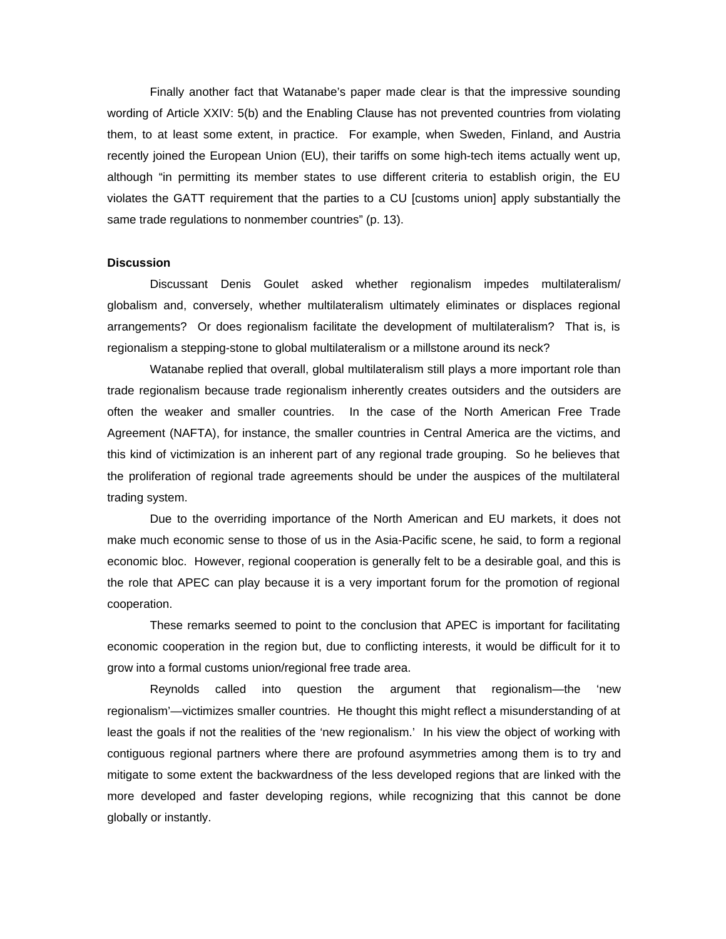Finally another fact that Watanabe's paper made clear is that the impressive sounding wording of Article XXIV: 5(b) and the Enabling Clause has not prevented countries from violating them, to at least some extent, in practice. For example, when Sweden, Finland, and Austria recently joined the European Union (EU), their tariffs on some high-tech items actually went up, although "in permitting its member states to use different criteria to establish origin, the EU violates the GATT requirement that the parties to a CU [customs union] apply substantially the same trade regulations to nonmember countries" (p. 13).

### **Discussion**

Discussant Denis Goulet asked whether regionalism impedes multilateralism/ globalism and, conversely, whether multilateralism ultimately eliminates or displaces regional arrangements? Or does regionalism facilitate the development of multilateralism? That is, is regionalism a stepping-stone to global multilateralism or a millstone around its neck?

Watanabe replied that overall, global multilateralism still plays a more important role than trade regionalism because trade regionalism inherently creates outsiders and the outsiders are often the weaker and smaller countries. In the case of the North American Free Trade Agreement (NAFTA), for instance, the smaller countries in Central America are the victims, and this kind of victimization is an inherent part of any regional trade grouping. So he believes that the proliferation of regional trade agreements should be under the auspices of the multilateral trading system.

Due to the overriding importance of the North American and EU markets, it does not make much economic sense to those of us in the Asia-Pacific scene, he said, to form a regional economic bloc. However, regional cooperation is generally felt to be a desirable goal, and this is the role that APEC can play because it is a very important forum for the promotion of regional cooperation.

These remarks seemed to point to the conclusion that APEC is important for facilitating economic cooperation in the region but, due to conflicting interests, it would be difficult for it to grow into a formal customs union/regional free trade area.

Reynolds called into question the argument that regionalism—the 'new regionalism'—victimizes smaller countries. He thought this might reflect a misunderstanding of at least the goals if not the realities of the 'new regionalism.' In his view the object of working with contiguous regional partners where there are profound asymmetries among them is to try and mitigate to some extent the backwardness of the less developed regions that are linked with the more developed and faster developing regions, while recognizing that this cannot be done globally or instantly.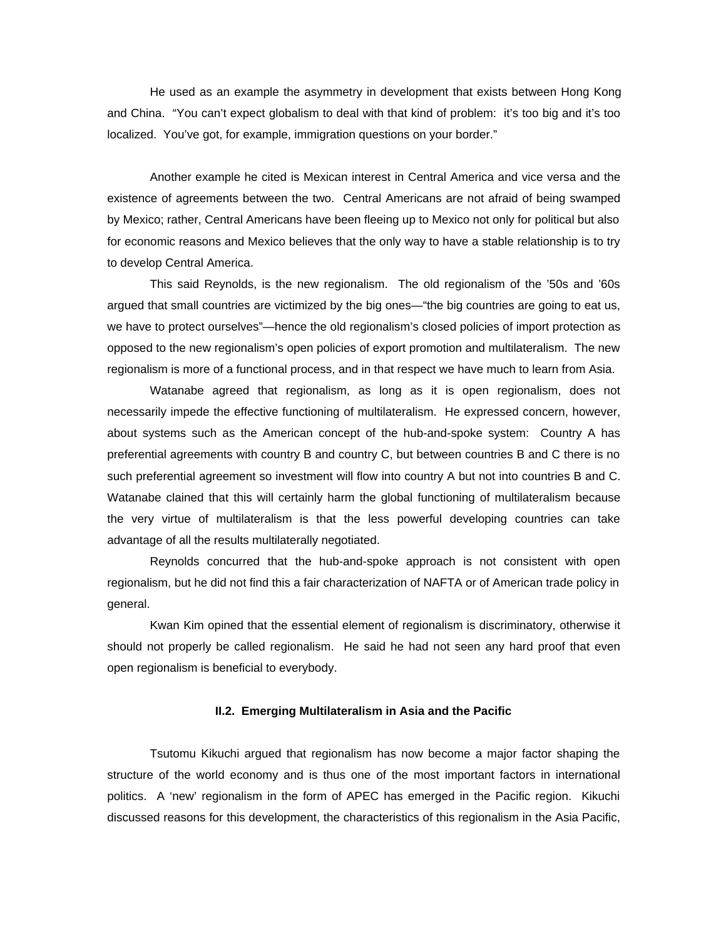He used as an example the asymmetry in development that exists between Hong Kong and China. "You can't expect globalism to deal with that kind of problem: it's too big and it's too localized. You've got, for example, immigration questions on your border."

Another example he cited is Mexican interest in Central America and vice versa and the existence of agreements between the two. Central Americans are not afraid of being swamped by Mexico; rather, Central Americans have been fleeing up to Mexico not only for political but also for economic reasons and Mexico believes that the only way to have a stable relationship is to try to develop Central America.

This said Reynolds, is the new regionalism. The old regionalism of the '50s and '60s argued that small countries are victimized by the big ones—"the big countries are going to eat us, we have to protect ourselves"—hence the old regionalism's closed policies of import protection as opposed to the new regionalism's open policies of export promotion and multilateralism. The new regionalism is more of a functional process, and in that respect we have much to learn from Asia.

Watanabe agreed that regionalism, as long as it is open regionalism, does not necessarily impede the effective functioning of multilateralism. He expressed concern, however, about systems such as the American concept of the hub-and-spoke system: Country A has preferential agreements with country B and country C, but between countries B and C there is no such preferential agreement so investment will flow into country A but not into countries B and C. Watanabe clained that this will certainly harm the global functioning of multilateralism because the very virtue of multilateralism is that the less powerful developing countries can take advantage of all the results multilaterally negotiated.

Reynolds concurred that the hub-and-spoke approach is not consistent with open regionalism, but he did not find this a fair characterization of NAFTA or of American trade policy in general.

Kwan Kim opined that the essential element of regionalism is discriminatory, otherwise it should not properly be called regionalism. He said he had not seen any hard proof that even open regionalism is beneficial to everybody.

# **II.2. Emerging Multilateralism in Asia and the Pacific**

Tsutomu Kikuchi argued that regionalism has now become a major factor shaping the structure of the world economy and is thus one of the most important factors in international politics. A 'new' regionalism in the form of APEC has emerged in the Pacific region. Kikuchi discussed reasons for this development, the characteristics of this regionalism in the Asia Pacific,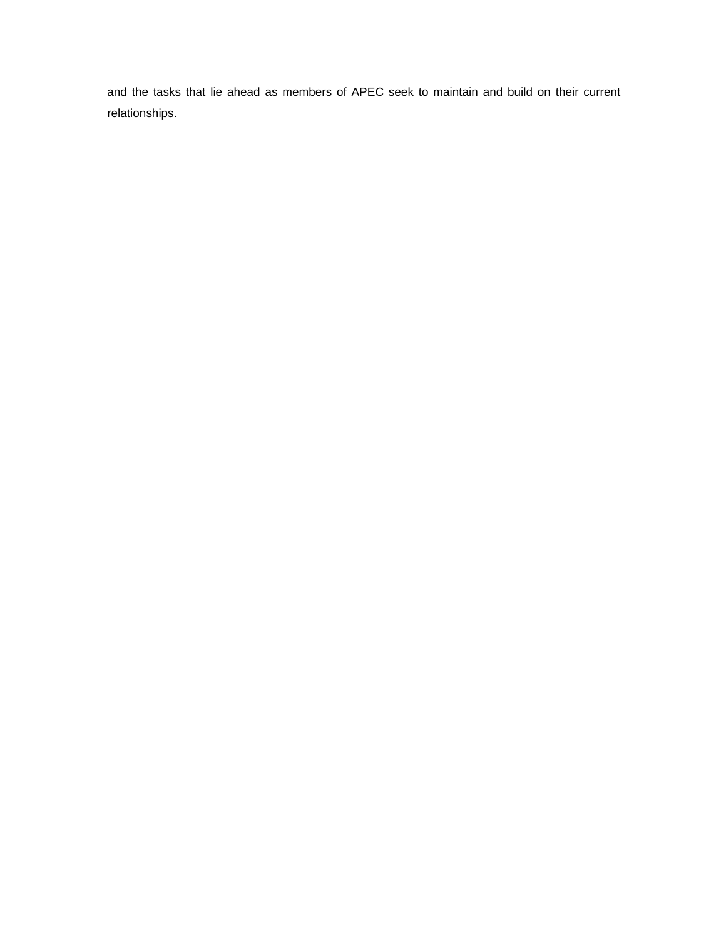and the tasks that lie ahead as members of APEC seek to maintain and build on their current relationships.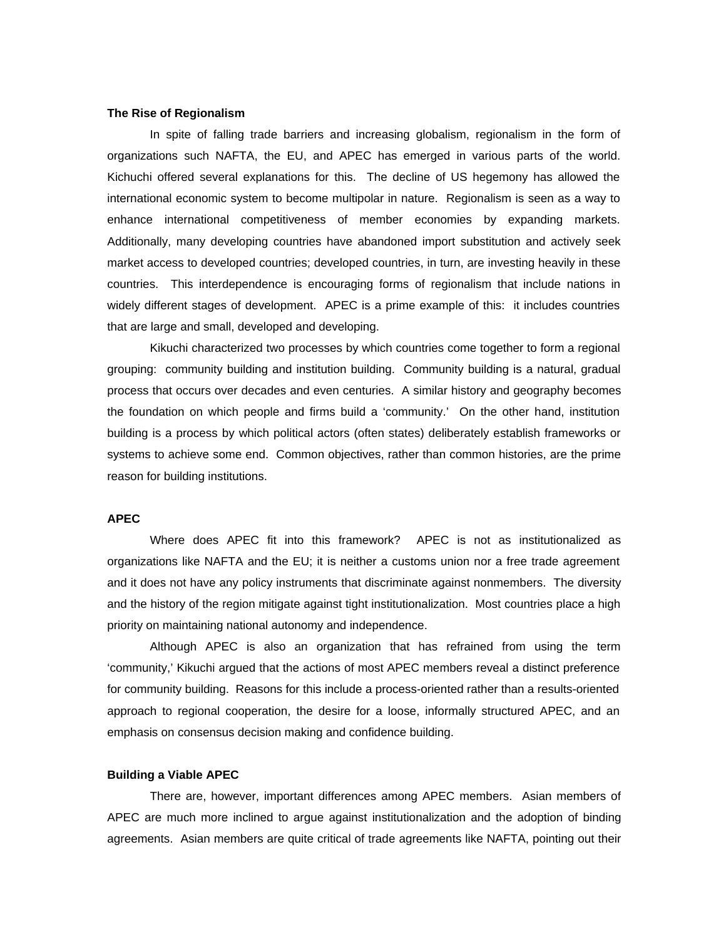# **The Rise of Regionalism**

In spite of falling trade barriers and increasing globalism, regionalism in the form of organizations such NAFTA, the EU, and APEC has emerged in various parts of the world. Kichuchi offered several explanations for this. The decline of US hegemony has allowed the international economic system to become multipolar in nature. Regionalism is seen as a way to enhance international competitiveness of member economies by expanding markets. Additionally, many developing countries have abandoned import substitution and actively seek market access to developed countries; developed countries, in turn, are investing heavily in these countries. This interdependence is encouraging forms of regionalism that include nations in widely different stages of development. APEC is a prime example of this: it includes countries that are large and small, developed and developing.

Kikuchi characterized two processes by which countries come together to form a regional grouping: community building and institution building. Community building is a natural, gradual process that occurs over decades and even centuries. A similar history and geography becomes the foundation on which people and firms build a 'community.' On the other hand, institution building is a process by which political actors (often states) deliberately establish frameworks or systems to achieve some end. Common objectives, rather than common histories, are the prime reason for building institutions.

# **APEC**

Where does APEC fit into this framework? APEC is not as institutionalized as organizations like NAFTA and the EU; it is neither a customs union nor a free trade agreement and it does not have any policy instruments that discriminate against nonmembers. The diversity and the history of the region mitigate against tight institutionalization. Most countries place a high priority on maintaining national autonomy and independence.

Although APEC is also an organization that has refrained from using the term 'community,' Kikuchi argued that the actions of most APEC members reveal a distinct preference for community building. Reasons for this include a process-oriented rather than a results-oriented approach to regional cooperation, the desire for a loose, informally structured APEC, and an emphasis on consensus decision making and confidence building.

#### **Building a Viable APEC**

There are, however, important differences among APEC members. Asian members of APEC are much more inclined to argue against institutionalization and the adoption of binding agreements. Asian members are quite critical of trade agreements like NAFTA, pointing out their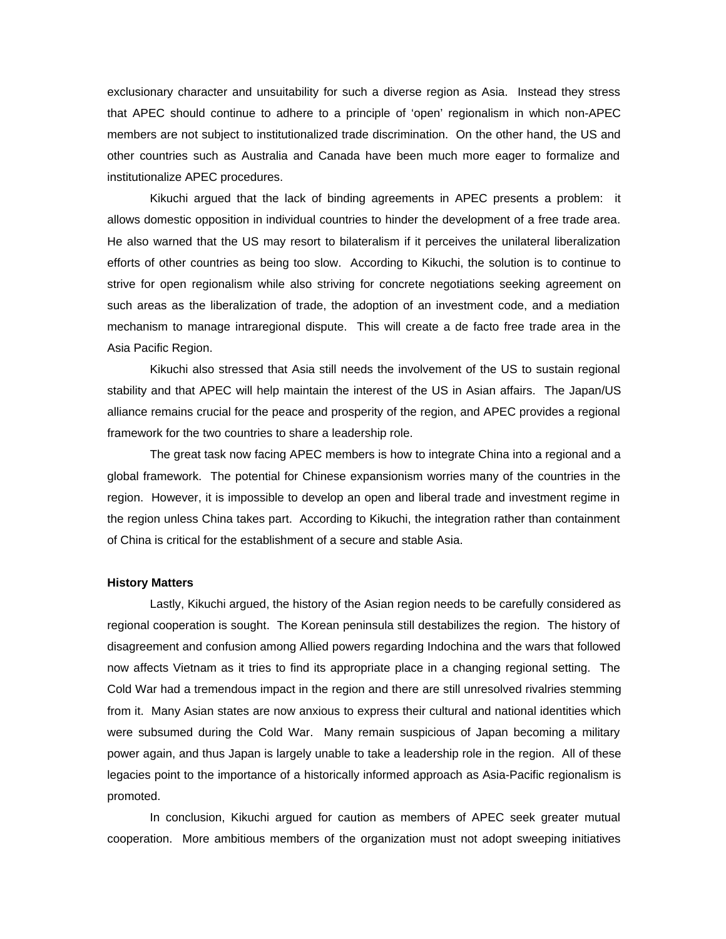exclusionary character and unsuitability for such a diverse region as Asia. Instead they stress that APEC should continue to adhere to a principle of 'open' regionalism in which non-APEC members are not subject to institutionalized trade discrimination. On the other hand, the US and other countries such as Australia and Canada have been much more eager to formalize and institutionalize APEC procedures.

Kikuchi argued that the lack of binding agreements in APEC presents a problem: it allows domestic opposition in individual countries to hinder the development of a free trade area. He also warned that the US may resort to bilateralism if it perceives the unilateral liberalization efforts of other countries as being too slow. According to Kikuchi, the solution is to continue to strive for open regionalism while also striving for concrete negotiations seeking agreement on such areas as the liberalization of trade, the adoption of an investment code, and a mediation mechanism to manage intraregional dispute. This will create a de facto free trade area in the Asia Pacific Region.

Kikuchi also stressed that Asia still needs the involvement of the US to sustain regional stability and that APEC will help maintain the interest of the US in Asian affairs. The Japan/US alliance remains crucial for the peace and prosperity of the region, and APEC provides a regional framework for the two countries to share a leadership role.

The great task now facing APEC members is how to integrate China into a regional and a global framework. The potential for Chinese expansionism worries many of the countries in the region. However, it is impossible to develop an open and liberal trade and investment regime in the region unless China takes part. According to Kikuchi, the integration rather than containment of China is critical for the establishment of a secure and stable Asia.

# **History Matters**

Lastly, Kikuchi argued, the history of the Asian region needs to be carefully considered as regional cooperation is sought. The Korean peninsula still destabilizes the region. The history of disagreement and confusion among Allied powers regarding Indochina and the wars that followed now affects Vietnam as it tries to find its appropriate place in a changing regional setting. The Cold War had a tremendous impact in the region and there are still unresolved rivalries stemming from it. Many Asian states are now anxious to express their cultural and national identities which were subsumed during the Cold War. Many remain suspicious of Japan becoming a military power again, and thus Japan is largely unable to take a leadership role in the region. All of these legacies point to the importance of a historically informed approach as Asia-Pacific regionalism is promoted.

In conclusion, Kikuchi argued for caution as members of APEC seek greater mutual cooperation. More ambitious members of the organization must not adopt sweeping initiatives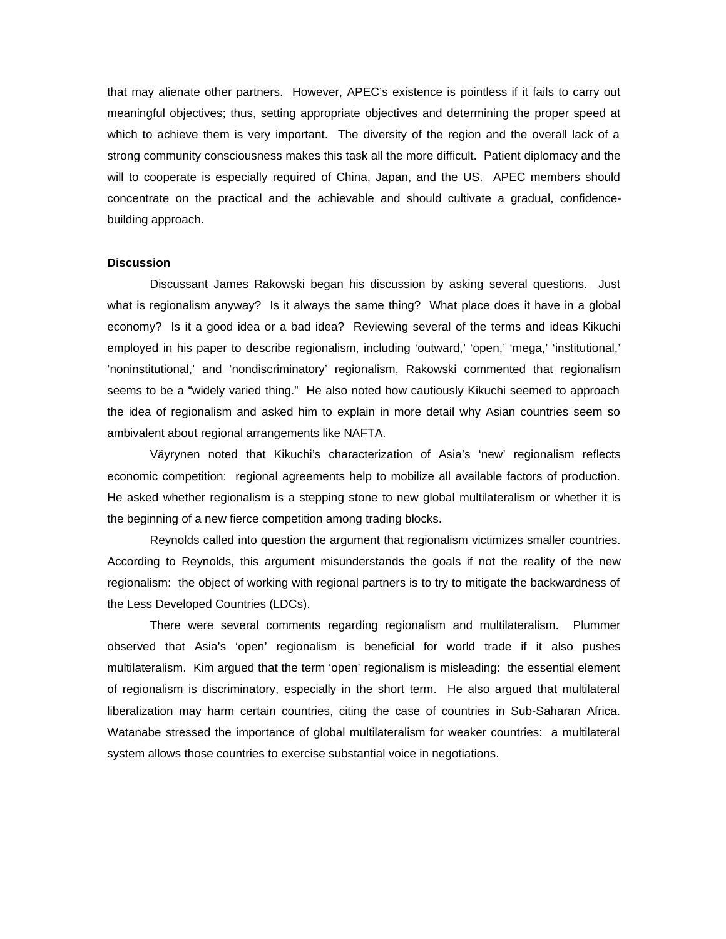that may alienate other partners. However, APEC's existence is pointless if it fails to carry out meaningful objectives; thus, setting appropriate objectives and determining the proper speed at which to achieve them is very important. The diversity of the region and the overall lack of a strong community consciousness makes this task all the more difficult. Patient diplomacy and the will to cooperate is especially required of China, Japan, and the US. APEC members should concentrate on the practical and the achievable and should cultivate a gradual, confidencebuilding approach.

# **Discussion**

Discussant James Rakowski began his discussion by asking several questions. Just what is regionalism anyway? Is it always the same thing? What place does it have in a global economy? Is it a good idea or a bad idea? Reviewing several of the terms and ideas Kikuchi employed in his paper to describe regionalism, including 'outward,' 'open,' 'mega,' 'institutional,' 'noninstitutional,' and 'nondiscriminatory' regionalism, Rakowski commented that regionalism seems to be a "widely varied thing." He also noted how cautiously Kikuchi seemed to approach the idea of regionalism and asked him to explain in more detail why Asian countries seem so ambivalent about regional arrangements like NAFTA.

Väyrynen noted that Kikuchi's characterization of Asia's 'new' regionalism reflects economic competition: regional agreements help to mobilize all available factors of production. He asked whether regionalism is a stepping stone to new global multilateralism or whether it is the beginning of a new fierce competition among trading blocks.

Reynolds called into question the argument that regionalism victimizes smaller countries. According to Reynolds, this argument misunderstands the goals if not the reality of the new regionalism: the object of working with regional partners is to try to mitigate the backwardness of the Less Developed Countries (LDCs).

There were several comments regarding regionalism and multilateralism. Plummer observed that Asia's 'open' regionalism is beneficial for world trade if it also pushes multilateralism. Kim argued that the term 'open' regionalism is misleading: the essential element of regionalism is discriminatory, especially in the short term. He also argued that multilateral liberalization may harm certain countries, citing the case of countries in Sub-Saharan Africa. Watanabe stressed the importance of global multilateralism for weaker countries: a multilateral system allows those countries to exercise substantial voice in negotiations.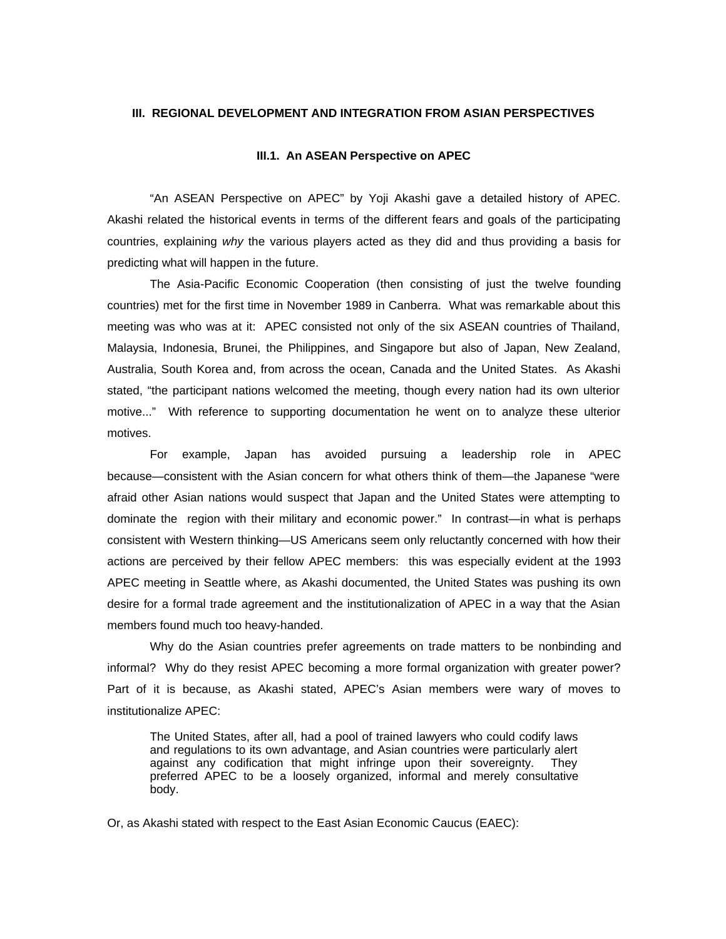# **III. REGIONAL DEVELOPMENT AND INTEGRATION FROM ASIAN PERSPECTIVES**

#### **III.1. An ASEAN Perspective on APEC**

"An ASEAN Perspective on APEC" by Yoji Akashi gave a detailed history of APEC. Akashi related the historical events in terms of the different fears and goals of the participating countries, explaining *why* the various players acted as they did and thus providing a basis for predicting what will happen in the future.

The Asia-Pacific Economic Cooperation (then consisting of just the twelve founding countries) met for the first time in November 1989 in Canberra. What was remarkable about this meeting was who was at it: APEC consisted not only of the six ASEAN countries of Thailand, Malaysia, Indonesia, Brunei, the Philippines, and Singapore but also of Japan, New Zealand, Australia, South Korea and, from across the ocean, Canada and the United States. As Akashi stated, "the participant nations welcomed the meeting, though every nation had its own ulterior motive..." With reference to supporting documentation he went on to analyze these ulterior motives.

For example, Japan has avoided pursuing a leadership role in APEC because—consistent with the Asian concern for what others think of them—the Japanese "were afraid other Asian nations would suspect that Japan and the United States were attempting to dominate the region with their military and economic power." In contrast—in what is perhaps consistent with Western thinking—US Americans seem only reluctantly concerned with how their actions are perceived by their fellow APEC members: this was especially evident at the 1993 APEC meeting in Seattle where, as Akashi documented, the United States was pushing its own desire for a formal trade agreement and the institutionalization of APEC in a way that the Asian members found much too heavy-handed.

Why do the Asian countries prefer agreements on trade matters to be nonbinding and informal? Why do they resist APEC becoming a more formal organization with greater power? Part of it is because, as Akashi stated, APEC's Asian members were wary of moves to institutionalize APEC:

The United States, after all, had a pool of trained lawyers who could codify laws and regulations to its own advantage, and Asian countries were particularly alert against any codification that might infringe upon their sovereignty. They preferred APEC to be a loosely organized, informal and merely consultative body.

Or, as Akashi stated with respect to the East Asian Economic Caucus (EAEC):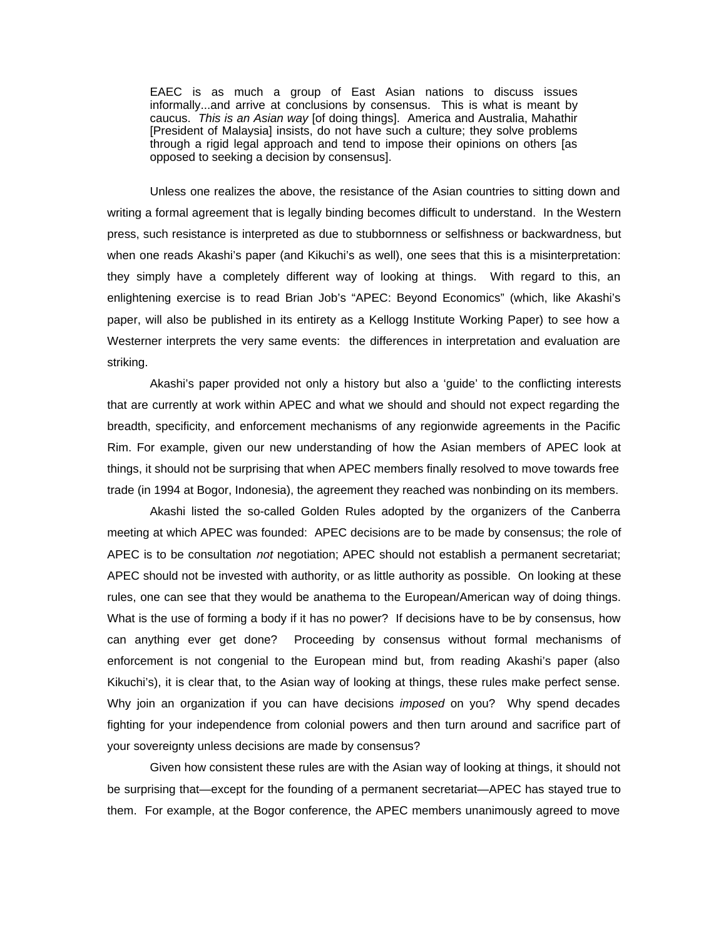EAEC is as much a group of East Asian nations to discuss issues informally...and arrive at conclusions by consensus. This is what is meant by caucus. *This is an Asian way* [of doing things]. America and Australia, Mahathir [President of Malaysia] insists, do not have such a culture; they solve problems through a rigid legal approach and tend to impose their opinions on others [as opposed to seeking a decision by consensus].

Unless one realizes the above, the resistance of the Asian countries to sitting down and writing a formal agreement that is legally binding becomes difficult to understand. In the Western press, such resistance is interpreted as due to stubbornness or selfishness or backwardness, but when one reads Akashi's paper (and Kikuchi's as well), one sees that this is a misinterpretation: they simply have a completely different way of looking at things. With regard to this, an enlightening exercise is to read Brian Job's "APEC: Beyond Economics" (which, like Akashi's paper, will also be published in its entirety as a Kellogg Institute Working Paper) to see how a Westerner interprets the very same events: the differences in interpretation and evaluation are striking.

Akashi's paper provided not only a history but also a 'guide' to the conflicting interests that are currently at work within APEC and what we should and should not expect regarding the breadth, specificity, and enforcement mechanisms of any regionwide agreements in the Pacific Rim. For example, given our new understanding of how the Asian members of APEC look at things, it should not be surprising that when APEC members finally resolved to move towards free trade (in 1994 at Bogor, Indonesia), the agreement they reached was nonbinding on its members.

Akashi listed the so-called Golden Rules adopted by the organizers of the Canberra meeting at which APEC was founded: APEC decisions are to be made by consensus; the role of APEC is to be consultation *not* negotiation; APEC should not establish a permanent secretariat; APEC should not be invested with authority, or as little authority as possible. On looking at these rules, one can see that they would be anathema to the European/American way of doing things. What is the use of forming a body if it has no power? If decisions have to be by consensus, how can anything ever get done? Proceeding by consensus without formal mechanisms of enforcement is not congenial to the European mind but, from reading Akashi's paper (also Kikuchi's), it is clear that, to the Asian way of looking at things, these rules make perfect sense. Why join an organization if you can have decisions *imposed* on you? Why spend decades fighting for your independence from colonial powers and then turn around and sacrifice part of your sovereignty unless decisions are made by consensus?

Given how consistent these rules are with the Asian way of looking at things, it should not be surprising that—except for the founding of a permanent secretariat—APEC has stayed true to them. For example, at the Bogor conference, the APEC members unanimously agreed to move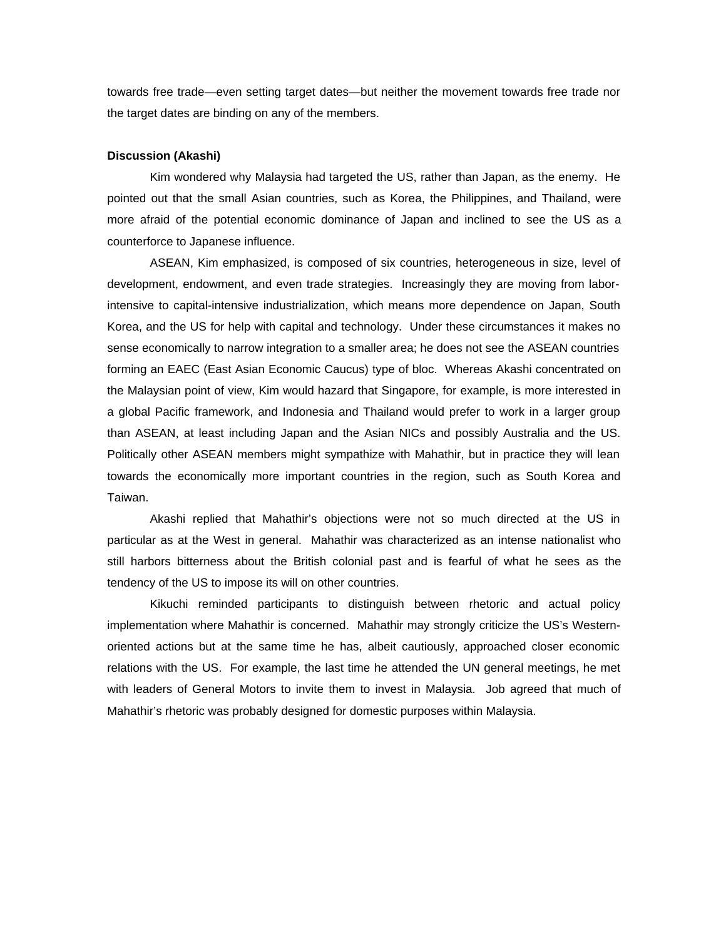towards free trade—even setting target dates—but neither the movement towards free trade nor the target dates are binding on any of the members.

# **Discussion (Akashi)**

Kim wondered why Malaysia had targeted the US, rather than Japan, as the enemy. He pointed out that the small Asian countries, such as Korea, the Philippines, and Thailand, were more afraid of the potential economic dominance of Japan and inclined to see the US as a counterforce to Japanese influence.

ASEAN, Kim emphasized, is composed of six countries, heterogeneous in size, level of development, endowment, and even trade strategies. Increasingly they are moving from laborintensive to capital-intensive industrialization, which means more dependence on Japan, South Korea, and the US for help with capital and technology. Under these circumstances it makes no sense economically to narrow integration to a smaller area; he does not see the ASEAN countries forming an EAEC (East Asian Economic Caucus) type of bloc. Whereas Akashi concentrated on the Malaysian point of view, Kim would hazard that Singapore, for example, is more interested in a global Pacific framework, and Indonesia and Thailand would prefer to work in a larger group than ASEAN, at least including Japan and the Asian NICs and possibly Australia and the US. Politically other ASEAN members might sympathize with Mahathir, but in practice they will lean towards the economically more important countries in the region, such as South Korea and Taiwan.

Akashi replied that Mahathir's objections were not so much directed at the US in particular as at the West in general. Mahathir was characterized as an intense nationalist who still harbors bitterness about the British colonial past and is fearful of what he sees as the tendency of the US to impose its will on other countries.

Kikuchi reminded participants to distinguish between rhetoric and actual policy implementation where Mahathir is concerned. Mahathir may strongly criticize the US's Westernoriented actions but at the same time he has, albeit cautiously, approached closer economic relations with the US. For example, the last time he attended the UN general meetings, he met with leaders of General Motors to invite them to invest in Malaysia. Job agreed that much of Mahathir's rhetoric was probably designed for domestic purposes within Malaysia.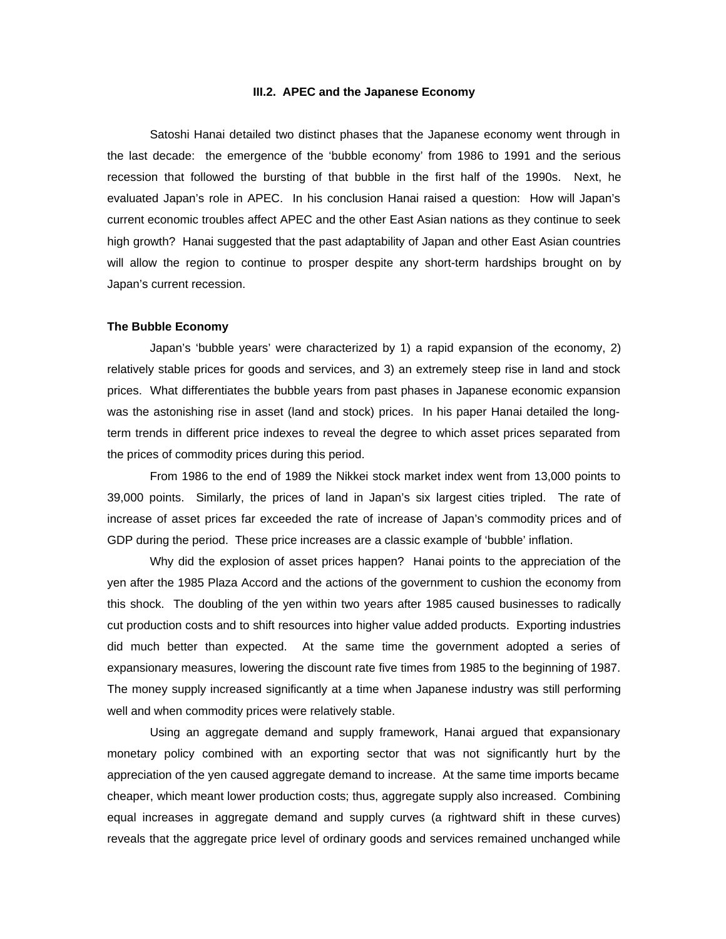# **III.2. APEC and the Japanese Economy**

Satoshi Hanai detailed two distinct phases that the Japanese economy went through in the last decade: the emergence of the 'bubble economy' from 1986 to 1991 and the serious recession that followed the bursting of that bubble in the first half of the 1990s. Next, he evaluated Japan's role in APEC. In his conclusion Hanai raised a question: How will Japan's current economic troubles affect APEC and the other East Asian nations as they continue to seek high growth? Hanai suggested that the past adaptability of Japan and other East Asian countries will allow the region to continue to prosper despite any short-term hardships brought on by Japan's current recession.

# **The Bubble Economy**

Japan's 'bubble years' were characterized by 1) a rapid expansion of the economy, 2) relatively stable prices for goods and services, and 3) an extremely steep rise in land and stock prices. What differentiates the bubble years from past phases in Japanese economic expansion was the astonishing rise in asset (land and stock) prices. In his paper Hanai detailed the longterm trends in different price indexes to reveal the degree to which asset prices separated from the prices of commodity prices during this period.

From 1986 to the end of 1989 the Nikkei stock market index went from 13,000 points to 39,000 points. Similarly, the prices of land in Japan's six largest cities tripled. The rate of increase of asset prices far exceeded the rate of increase of Japan's commodity prices and of GDP during the period. These price increases are a classic example of 'bubble' inflation.

Why did the explosion of asset prices happen? Hanai points to the appreciation of the yen after the 1985 Plaza Accord and the actions of the government to cushion the economy from this shock. The doubling of the yen within two years after 1985 caused businesses to radically cut production costs and to shift resources into higher value added products. Exporting industries did much better than expected. At the same time the government adopted a series of expansionary measures, lowering the discount rate five times from 1985 to the beginning of 1987. The money supply increased significantly at a time when Japanese industry was still performing well and when commodity prices were relatively stable.

Using an aggregate demand and supply framework, Hanai argued that expansionary monetary policy combined with an exporting sector that was not significantly hurt by the appreciation of the yen caused aggregate demand to increase. At the same time imports became cheaper, which meant lower production costs; thus, aggregate supply also increased. Combining equal increases in aggregate demand and supply curves (a rightward shift in these curves) reveals that the aggregate price level of ordinary goods and services remained unchanged while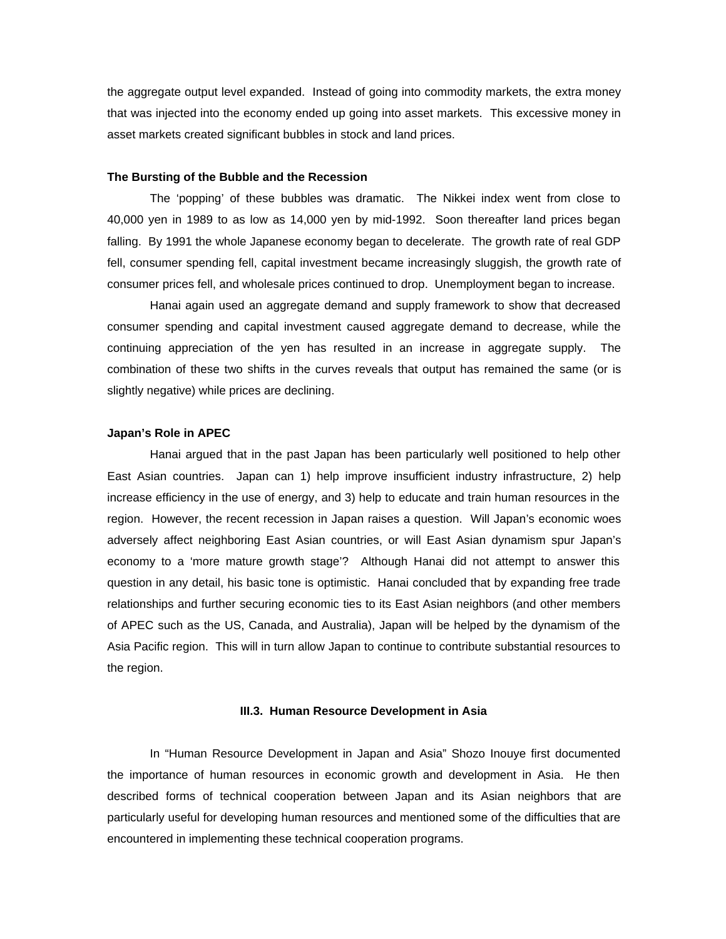the aggregate output level expanded. Instead of going into commodity markets, the extra money that was injected into the economy ended up going into asset markets. This excessive money in asset markets created significant bubbles in stock and land prices.

# **The Bursting of the Bubble and the Recession**

The 'popping' of these bubbles was dramatic. The Nikkei index went from close to 40,000 yen in 1989 to as low as 14,000 yen by mid-1992. Soon thereafter land prices began falling. By 1991 the whole Japanese economy began to decelerate. The growth rate of real GDP fell, consumer spending fell, capital investment became increasingly sluggish, the growth rate of consumer prices fell, and wholesale prices continued to drop. Unemployment began to increase.

Hanai again used an aggregate demand and supply framework to show that decreased consumer spending and capital investment caused aggregate demand to decrease, while the continuing appreciation of the yen has resulted in an increase in aggregate supply. The combination of these two shifts in the curves reveals that output has remained the same (or is slightly negative) while prices are declining.

# **Japan's Role in APEC**

Hanai argued that in the past Japan has been particularly well positioned to help other East Asian countries. Japan can 1) help improve insufficient industry infrastructure, 2) help increase efficiency in the use of energy, and 3) help to educate and train human resources in the region. However, the recent recession in Japan raises a question. Will Japan's economic woes adversely affect neighboring East Asian countries, or will East Asian dynamism spur Japan's economy to a 'more mature growth stage'? Although Hanai did not attempt to answer this question in any detail, his basic tone is optimistic. Hanai concluded that by expanding free trade relationships and further securing economic ties to its East Asian neighbors (and other members of APEC such as the US, Canada, and Australia), Japan will be helped by the dynamism of the Asia Pacific region. This will in turn allow Japan to continue to contribute substantial resources to the region.

# **III.3. Human Resource Development in Asia**

In "Human Resource Development in Japan and Asia" Shozo Inouye first documented the importance of human resources in economic growth and development in Asia. He then described forms of technical cooperation between Japan and its Asian neighbors that are particularly useful for developing human resources and mentioned some of the difficulties that are encountered in implementing these technical cooperation programs.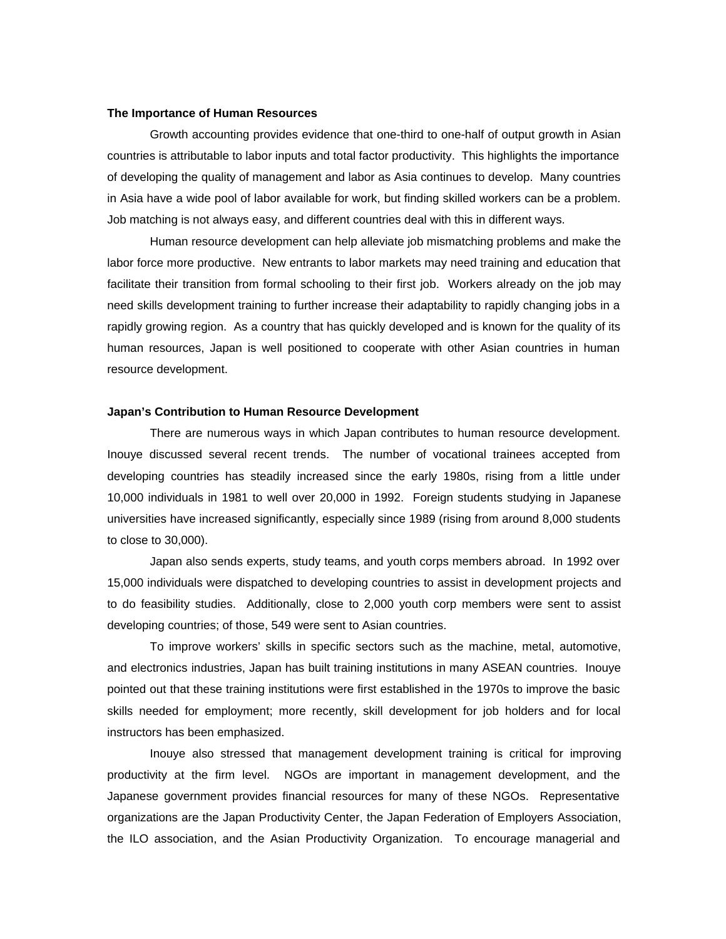# **The Importance of Human Resources**

Growth accounting provides evidence that one-third to one-half of output growth in Asian countries is attributable to labor inputs and total factor productivity. This highlights the importance of developing the quality of management and labor as Asia continues to develop. Many countries in Asia have a wide pool of labor available for work, but finding skilled workers can be a problem. Job matching is not always easy, and different countries deal with this in different ways.

Human resource development can help alleviate job mismatching problems and make the labor force more productive. New entrants to labor markets may need training and education that facilitate their transition from formal schooling to their first job. Workers already on the job may need skills development training to further increase their adaptability to rapidly changing jobs in a rapidly growing region. As a country that has quickly developed and is known for the quality of its human resources, Japan is well positioned to cooperate with other Asian countries in human resource development.

#### **Japan's Contribution to Human Resource Development**

There are numerous ways in which Japan contributes to human resource development. Inouye discussed several recent trends. The number of vocational trainees accepted from developing countries has steadily increased since the early 1980s, rising from a little under 10,000 individuals in 1981 to well over 20,000 in 1992. Foreign students studying in Japanese universities have increased significantly, especially since 1989 (rising from around 8,000 students to close to 30,000).

Japan also sends experts, study teams, and youth corps members abroad. In 1992 over 15,000 individuals were dispatched to developing countries to assist in development projects and to do feasibility studies. Additionally, close to 2,000 youth corp members were sent to assist developing countries; of those, 549 were sent to Asian countries.

To improve workers' skills in specific sectors such as the machine, metal, automotive, and electronics industries, Japan has built training institutions in many ASEAN countries. Inouye pointed out that these training institutions were first established in the 1970s to improve the basic skills needed for employment; more recently, skill development for job holders and for local instructors has been emphasized.

Inouye also stressed that management development training is critical for improving productivity at the firm level. NGOs are important in management development, and the Japanese government provides financial resources for many of these NGOs. Representative organizations are the Japan Productivity Center, the Japan Federation of Employers Association, the ILO association, and the Asian Productivity Organization. To encourage managerial and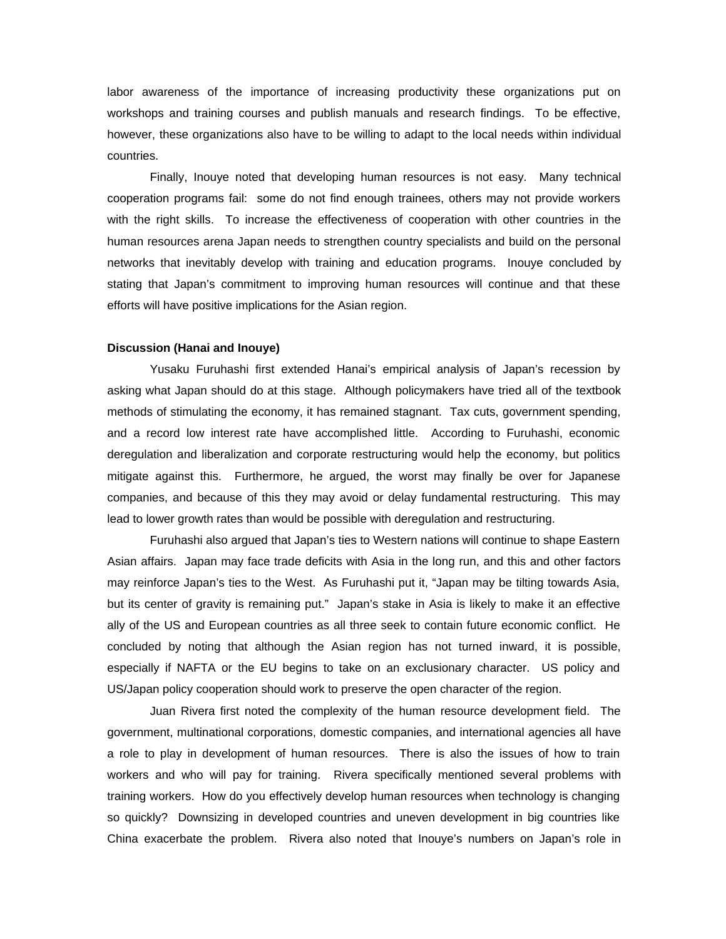labor awareness of the importance of increasing productivity these organizations put on workshops and training courses and publish manuals and research findings. To be effective, however, these organizations also have to be willing to adapt to the local needs within individual countries.

Finally, Inouye noted that developing human resources is not easy. Many technical cooperation programs fail: some do not find enough trainees, others may not provide workers with the right skills. To increase the effectiveness of cooperation with other countries in the human resources arena Japan needs to strengthen country specialists and build on the personal networks that inevitably develop with training and education programs. Inouye concluded by stating that Japan's commitment to improving human resources will continue and that these efforts will have positive implications for the Asian region.

# **Discussion (Hanai and Inouye)**

Yusaku Furuhashi first extended Hanai's empirical analysis of Japan's recession by asking what Japan should do at this stage. Although policymakers have tried all of the textbook methods of stimulating the economy, it has remained stagnant. Tax cuts, government spending, and a record low interest rate have accomplished little. According to Furuhashi, economic deregulation and liberalization and corporate restructuring would help the economy, but politics mitigate against this. Furthermore, he argued, the worst may finally be over for Japanese companies, and because of this they may avoid or delay fundamental restructuring. This may lead to lower growth rates than would be possible with deregulation and restructuring.

Furuhashi also argued that Japan's ties to Western nations will continue to shape Eastern Asian affairs. Japan may face trade deficits with Asia in the long run, and this and other factors may reinforce Japan's ties to the West. As Furuhashi put it, "Japan may be tilting towards Asia, but its center of gravity is remaining put." Japan's stake in Asia is likely to make it an effective ally of the US and European countries as all three seek to contain future economic conflict. He concluded by noting that although the Asian region has not turned inward, it is possible, especially if NAFTA or the EU begins to take on an exclusionary character. US policy and US/Japan policy cooperation should work to preserve the open character of the region.

Juan Rivera first noted the complexity of the human resource development field. The government, multinational corporations, domestic companies, and international agencies all have a role to play in development of human resources. There is also the issues of how to train workers and who will pay for training. Rivera specifically mentioned several problems with training workers. How do you effectively develop human resources when technology is changing so quickly? Downsizing in developed countries and uneven development in big countries like China exacerbate the problem. Rivera also noted that Inouye's numbers on Japan's role in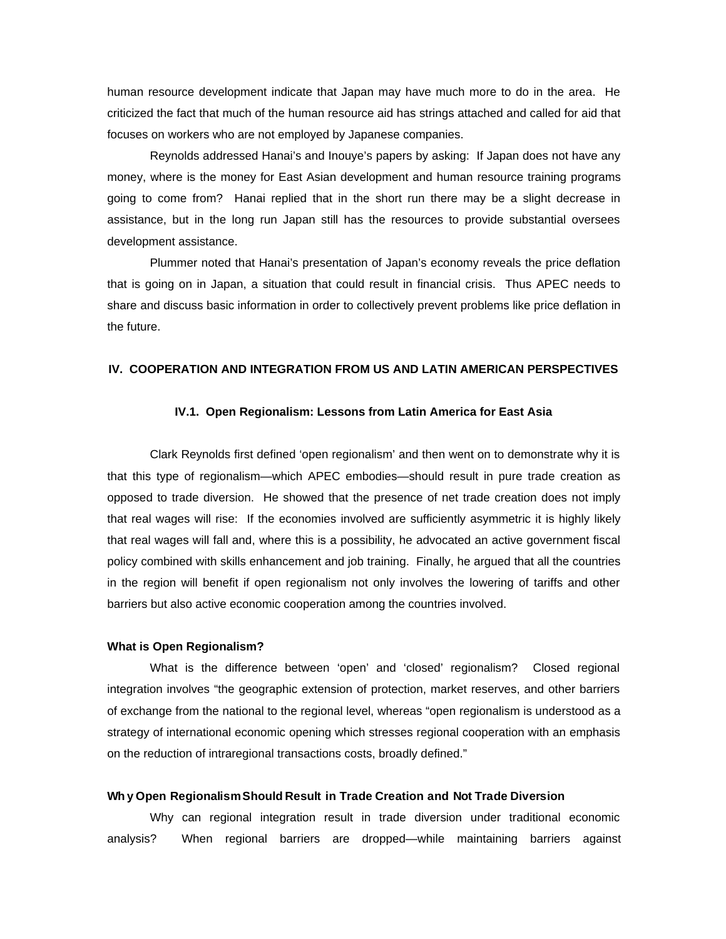human resource development indicate that Japan may have much more to do in the area. He criticized the fact that much of the human resource aid has strings attached and called for aid that focuses on workers who are not employed by Japanese companies.

Reynolds addressed Hanai's and Inouye's papers by asking: If Japan does not have any money, where is the money for East Asian development and human resource training programs going to come from? Hanai replied that in the short run there may be a slight decrease in assistance, but in the long run Japan still has the resources to provide substantial oversees development assistance.

Plummer noted that Hanai's presentation of Japan's economy reveals the price deflation that is going on in Japan, a situation that could result in financial crisis. Thus APEC needs to share and discuss basic information in order to collectively prevent problems like price deflation in the future.

# **IV. COOPERATION AND INTEGRATION FROM US AND LATIN AMERICAN PERSPECTIVES**

# **IV.1. Open Regionalism: Lessons from Latin America for East Asia**

Clark Reynolds first defined 'open regionalism' and then went on to demonstrate why it is that this type of regionalism—which APEC embodies—should result in pure trade creation as opposed to trade diversion. He showed that the presence of net trade creation does not imply that real wages will rise: If the economies involved are sufficiently asymmetric it is highly likely that real wages will fall and, where this is a possibility, he advocated an active government fiscal policy combined with skills enhancement and job training. Finally, he argued that all the countries in the region will benefit if open regionalism not only involves the lowering of tariffs and other barriers but also active economic cooperation among the countries involved.

# **What is Open Regionalism?**

What is the difference between 'open' and 'closed' regionalism? Closed regional integration involves "the geographic extension of protection, market reserves, and other barriers of exchange from the national to the regional level, whereas "open regionalism is understood as a strategy of international economic opening which stresses regional cooperation with an emphasis on the reduction of intraregional transactions costs, broadly defined."

# **Why Open Regionalism Should Result in Trade Creation and Not Trade Diversion**

Why can regional integration result in trade diversion under traditional economic analysis? When regional barriers are dropped—while maintaining barriers against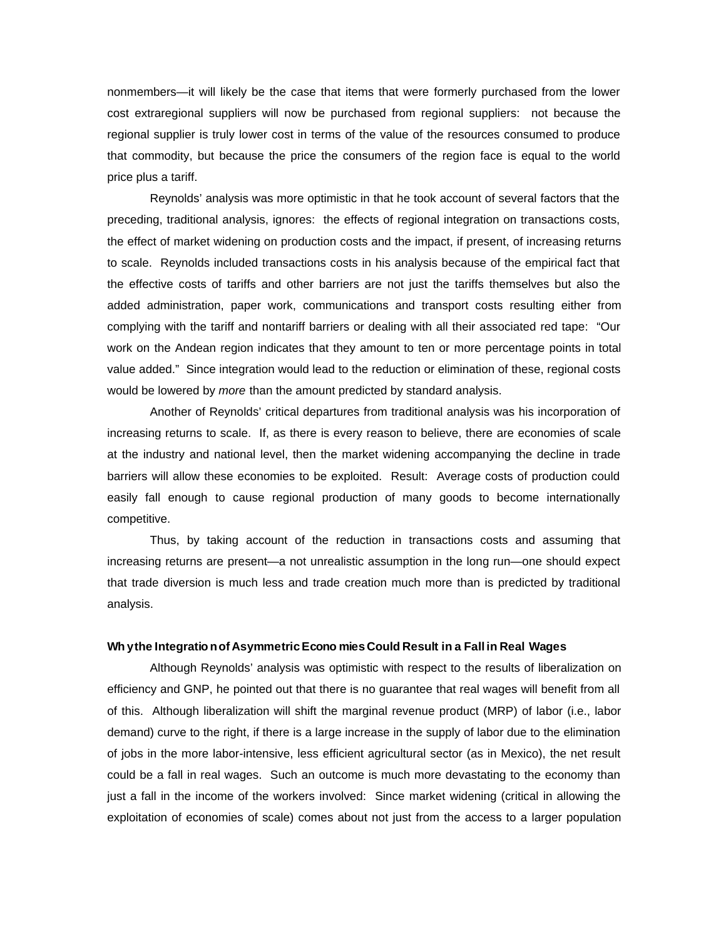nonmembers—it will likely be the case that items that were formerly purchased from the lower cost extraregional suppliers will now be purchased from regional suppliers: not because the regional supplier is truly lower cost in terms of the value of the resources consumed to produce that commodity, but because the price the consumers of the region face is equal to the world price plus a tariff.

Reynolds' analysis was more optimistic in that he took account of several factors that the preceding, traditional analysis, ignores: the effects of regional integration on transactions costs, the effect of market widening on production costs and the impact, if present, of increasing returns to scale. Reynolds included transactions costs in his analysis because of the empirical fact that the effective costs of tariffs and other barriers are not just the tariffs themselves but also the added administration, paper work, communications and transport costs resulting either from complying with the tariff and nontariff barriers or dealing with all their associated red tape: "Our work on the Andean region indicates that they amount to ten or more percentage points in total value added." Since integration would lead to the reduction or elimination of these, regional costs would be lowered by *more* than the amount predicted by standard analysis.

Another of Reynolds' critical departures from traditional analysis was his incorporation of increasing returns to scale. If, as there is every reason to believe, there are economies of scale at the industry and national level, then the market widening accompanying the decline in trade barriers will allow these economies to be exploited. Result: Average costs of production could easily fall enough to cause regional production of many goods to become internationally competitive.

Thus, by taking account of the reduction in transactions costs and assuming that increasing returns are present—a not unrealistic assumption in the long run—one should expect that trade diversion is much less and trade creation much more than is predicted by traditional analysis.

# **Wh y the Integratio n of Asymmetric Econo mies Could Result in a Fall in Real Wages**

Although Reynolds' analysis was optimistic with respect to the results of liberalization on efficiency and GNP, he pointed out that there is no guarantee that real wages will benefit from all of this. Although liberalization will shift the marginal revenue product (MRP) of labor (i.e., labor demand) curve to the right, if there is a large increase in the supply of labor due to the elimination of jobs in the more labor-intensive, less efficient agricultural sector (as in Mexico), the net result could be a fall in real wages. Such an outcome is much more devastating to the economy than just a fall in the income of the workers involved: Since market widening (critical in allowing the exploitation of economies of scale) comes about not just from the access to a larger population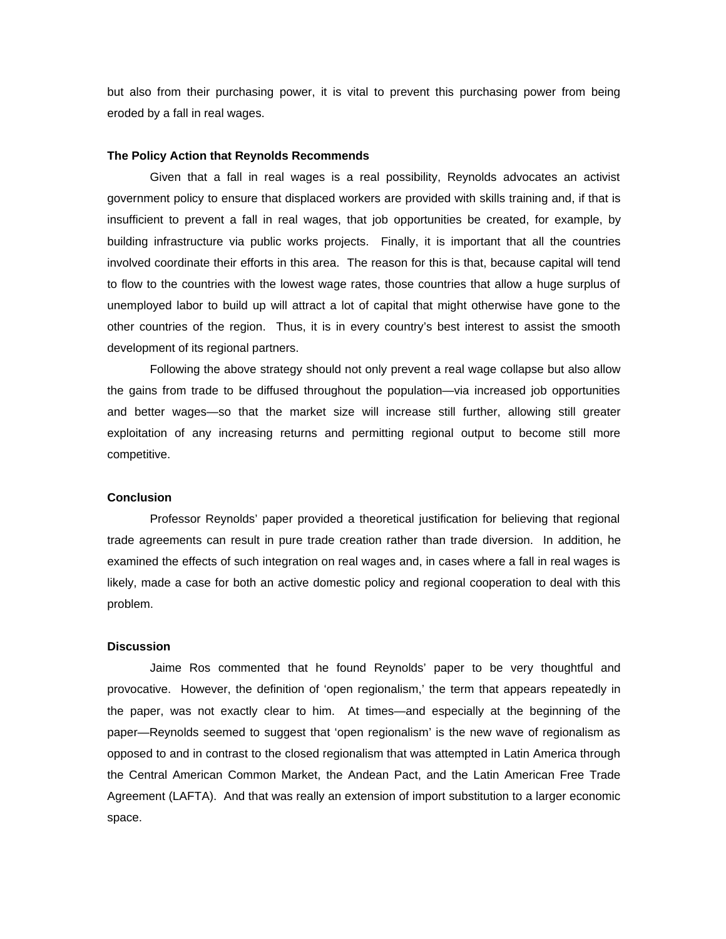but also from their purchasing power, it is vital to prevent this purchasing power from being eroded by a fall in real wages.

# **The Policy Action that Reynolds Recommends**

Given that a fall in real wages is a real possibility, Reynolds advocates an activist government policy to ensure that displaced workers are provided with skills training and, if that is insufficient to prevent a fall in real wages, that job opportunities be created, for example, by building infrastructure via public works projects. Finally, it is important that all the countries involved coordinate their efforts in this area. The reason for this is that, because capital will tend to flow to the countries with the lowest wage rates, those countries that allow a huge surplus of unemployed labor to build up will attract a lot of capital that might otherwise have gone to the other countries of the region. Thus, it is in every country's best interest to assist the smooth development of its regional partners.

Following the above strategy should not only prevent a real wage collapse but also allow the gains from trade to be diffused throughout the population—via increased job opportunities and better wages—so that the market size will increase still further, allowing still greater exploitation of any increasing returns and permitting regional output to become still more competitive.

# **Conclusion**

Professor Reynolds' paper provided a theoretical justification for believing that regional trade agreements can result in pure trade creation rather than trade diversion. In addition, he examined the effects of such integration on real wages and, in cases where a fall in real wages is likely, made a case for both an active domestic policy and regional cooperation to deal with this problem.

# **Discussion**

Jaime Ros commented that he found Reynolds' paper to be very thoughtful and provocative. However, the definition of 'open regionalism,' the term that appears repeatedly in the paper, was not exactly clear to him. At times—and especially at the beginning of the paper—Reynolds seemed to suggest that 'open regionalism' is the new wave of regionalism as opposed to and in contrast to the closed regionalism that was attempted in Latin America through the Central American Common Market, the Andean Pact, and the Latin American Free Trade Agreement (LAFTA). And that was really an extension of import substitution to a larger economic space.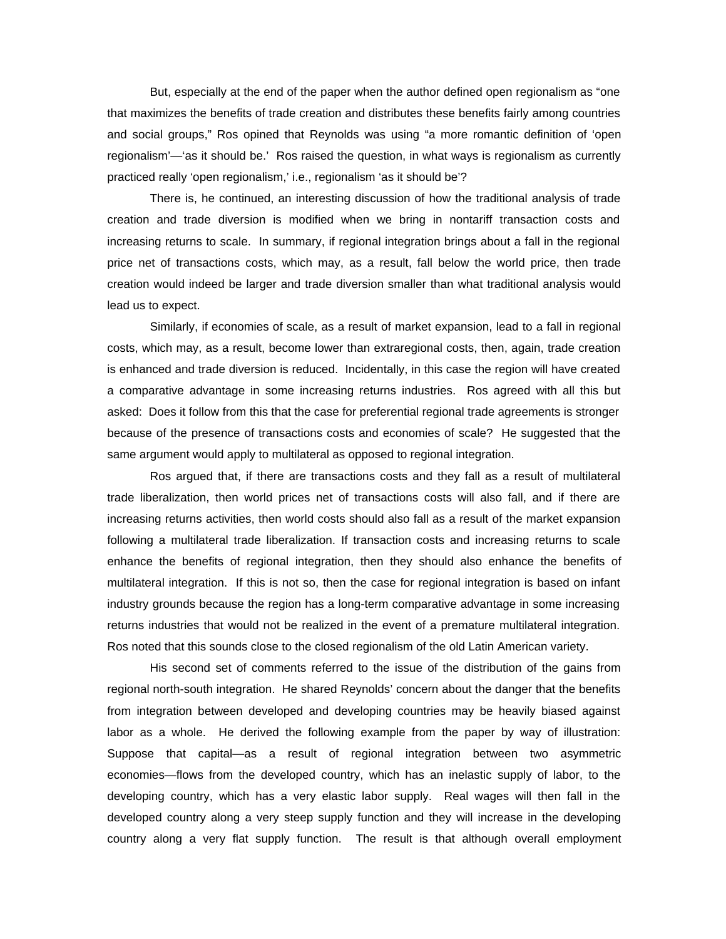But, especially at the end of the paper when the author defined open regionalism as "one that maximizes the benefits of trade creation and distributes these benefits fairly among countries and social groups," Ros opined that Reynolds was using "a more romantic definition of 'open regionalism'—'as it should be.' Ros raised the question, in what ways is regionalism as currently practiced really 'open regionalism,' i.e., regionalism 'as it should be'?

There is, he continued, an interesting discussion of how the traditional analysis of trade creation and trade diversion is modified when we bring in nontariff transaction costs and increasing returns to scale. In summary, if regional integration brings about a fall in the regional price net of transactions costs, which may, as a result, fall below the world price, then trade creation would indeed be larger and trade diversion smaller than what traditional analysis would lead us to expect.

Similarly, if economies of scale, as a result of market expansion, lead to a fall in regional costs, which may, as a result, become lower than extraregional costs, then, again, trade creation is enhanced and trade diversion is reduced. Incidentally, in this case the region will have created a comparative advantage in some increasing returns industries. Ros agreed with all this but asked: Does it follow from this that the case for preferential regional trade agreements is stronger because of the presence of transactions costs and economies of scale? He suggested that the same argument would apply to multilateral as opposed to regional integration.

Ros argued that, if there are transactions costs and they fall as a result of multilateral trade liberalization, then world prices net of transactions costs will also fall, and if there are increasing returns activities, then world costs should also fall as a result of the market expansion following a multilateral trade liberalization. If transaction costs and increasing returns to scale enhance the benefits of regional integration, then they should also enhance the benefits of multilateral integration. If this is not so, then the case for regional integration is based on infant industry grounds because the region has a long-term comparative advantage in some increasing returns industries that would not be realized in the event of a premature multilateral integration. Ros noted that this sounds close to the closed regionalism of the old Latin American variety.

His second set of comments referred to the issue of the distribution of the gains from regional north-south integration. He shared Reynolds' concern about the danger that the benefits from integration between developed and developing countries may be heavily biased against labor as a whole. He derived the following example from the paper by way of illustration: Suppose that capital—as a result of regional integration between two asymmetric economies—flows from the developed country, which has an inelastic supply of labor, to the developing country, which has a very elastic labor supply. Real wages will then fall in the developed country along a very steep supply function and they will increase in the developing country along a very flat supply function. The result is that although overall employment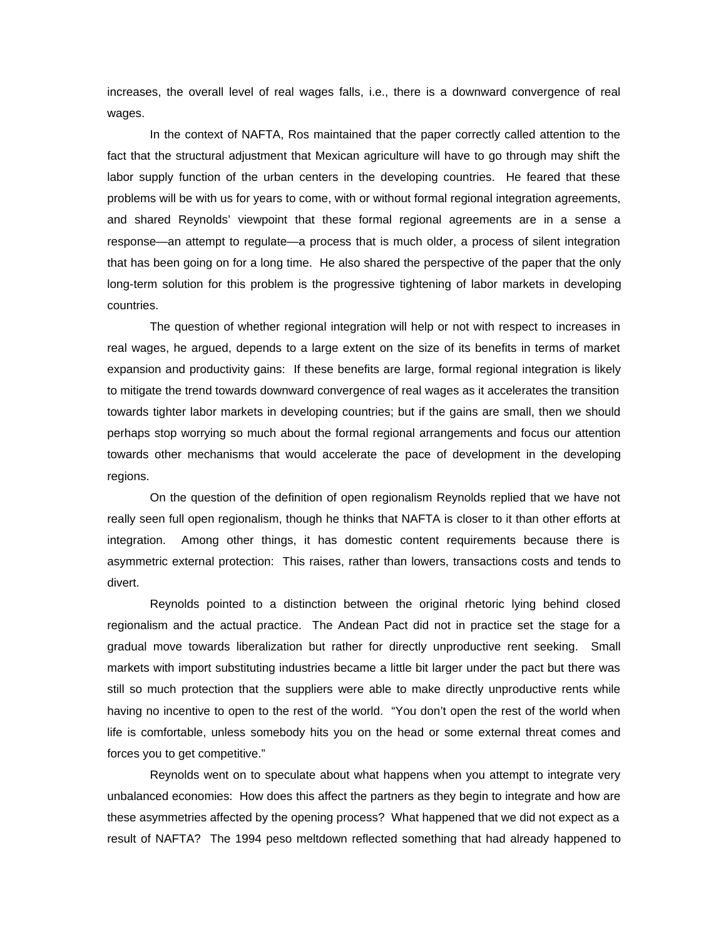increases, the overall level of real wages falls, i.e., there is a downward convergence of real wages.

In the context of NAFTA, Ros maintained that the paper correctly called attention to the fact that the structural adjustment that Mexican agriculture will have to go through may shift the labor supply function of the urban centers in the developing countries. He feared that these problems will be with us for years to come, with or without formal regional integration agreements, and shared Reynolds' viewpoint that these formal regional agreements are in a sense a response—an attempt to regulate—a process that is much older, a process of silent integration that has been going on for a long time. He also shared the perspective of the paper that the only long-term solution for this problem is the progressive tightening of labor markets in developing countries.

The question of whether regional integration will help or not with respect to increases in real wages, he argued, depends to a large extent on the size of its benefits in terms of market expansion and productivity gains: If these benefits are large, formal regional integration is likely to mitigate the trend towards downward convergence of real wages as it accelerates the transition towards tighter labor markets in developing countries; but if the gains are small, then we should perhaps stop worrying so much about the formal regional arrangements and focus our attention towards other mechanisms that would accelerate the pace of development in the developing regions.

On the question of the definition of open regionalism Reynolds replied that we have not really seen full open regionalism, though he thinks that NAFTA is closer to it than other efforts at integration. Among other things, it has domestic content requirements because there is asymmetric external protection: This raises, rather than lowers, transactions costs and tends to divert.

Reynolds pointed to a distinction between the original rhetoric lying behind closed regionalism and the actual practice. The Andean Pact did not in practice set the stage for a gradual move towards liberalization but rather for directly unproductive rent seeking. Small markets with import substituting industries became a little bit larger under the pact but there was still so much protection that the suppliers were able to make directly unproductive rents while having no incentive to open to the rest of the world. "You don't open the rest of the world when life is comfortable, unless somebody hits you on the head or some external threat comes and forces you to get competitive."

Reynolds went on to speculate about what happens when you attempt to integrate very unbalanced economies: How does this affect the partners as they begin to integrate and how are these asymmetries affected by the opening process? What happened that we did not expect as a result of NAFTA? The 1994 peso meltdown reflected something that had already happened to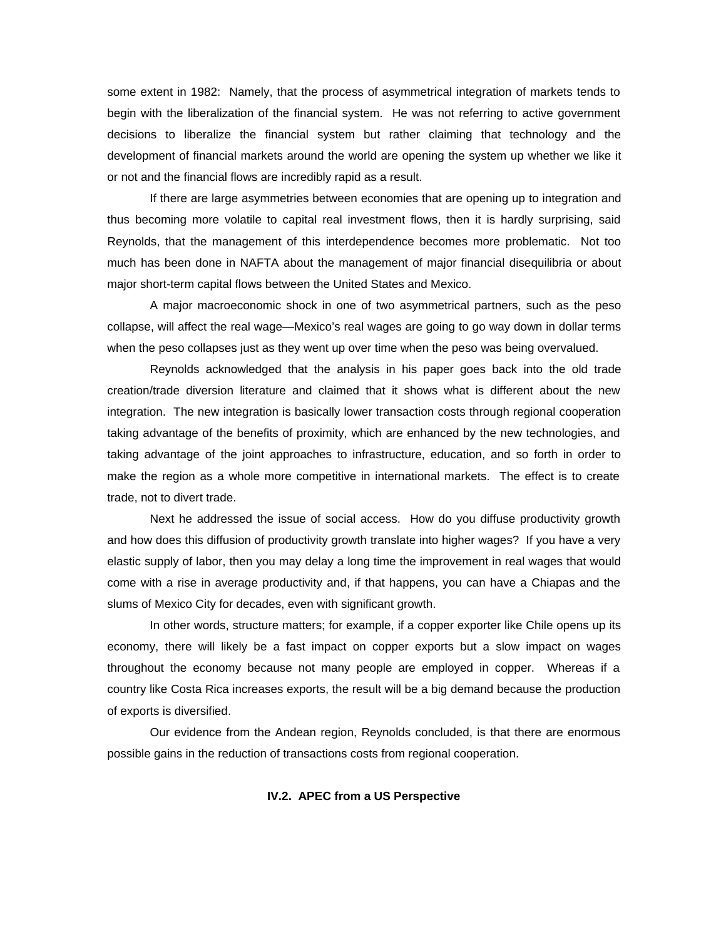some extent in 1982: Namely, that the process of asymmetrical integration of markets tends to begin with the liberalization of the financial system. He was not referring to active government decisions to liberalize the financial system but rather claiming that technology and the development of financial markets around the world are opening the system up whether we like it or not and the financial flows are incredibly rapid as a result.

If there are large asymmetries between economies that are opening up to integration and thus becoming more volatile to capital real investment flows, then it is hardly surprising, said Reynolds, that the management of this interdependence becomes more problematic. Not too much has been done in NAFTA about the management of major financial disequilibria or about major short-term capital flows between the United States and Mexico.

A major macroeconomic shock in one of two asymmetrical partners, such as the peso collapse, will affect the real wage—Mexico's real wages are going to go way down in dollar terms when the peso collapses just as they went up over time when the peso was being overvalued.

Reynolds acknowledged that the analysis in his paper goes back into the old trade creation/trade diversion literature and claimed that it shows what is different about the new integration. The new integration is basically lower transaction costs through regional cooperation taking advantage of the benefits of proximity, which are enhanced by the new technologies, and taking advantage of the joint approaches to infrastructure, education, and so forth in order to make the region as a whole more competitive in international markets. The effect is to create trade, not to divert trade.

Next he addressed the issue of social access. How do you diffuse productivity growth and how does this diffusion of productivity growth translate into higher wages? If you have a very elastic supply of labor, then you may delay a long time the improvement in real wages that would come with a rise in average productivity and, if that happens, you can have a Chiapas and the slums of Mexico City for decades, even with significant growth.

In other words, structure matters; for example, if a copper exporter like Chile opens up its economy, there will likely be a fast impact on copper exports but a slow impact on wages throughout the economy because not many people are employed in copper. Whereas if a country like Costa Rica increases exports, the result will be a big demand because the production of exports is diversified.

Our evidence from the Andean region, Reynolds concluded, is that there are enormous possible gains in the reduction of transactions costs from regional cooperation.

# **IV.2. APEC from a US Perspective**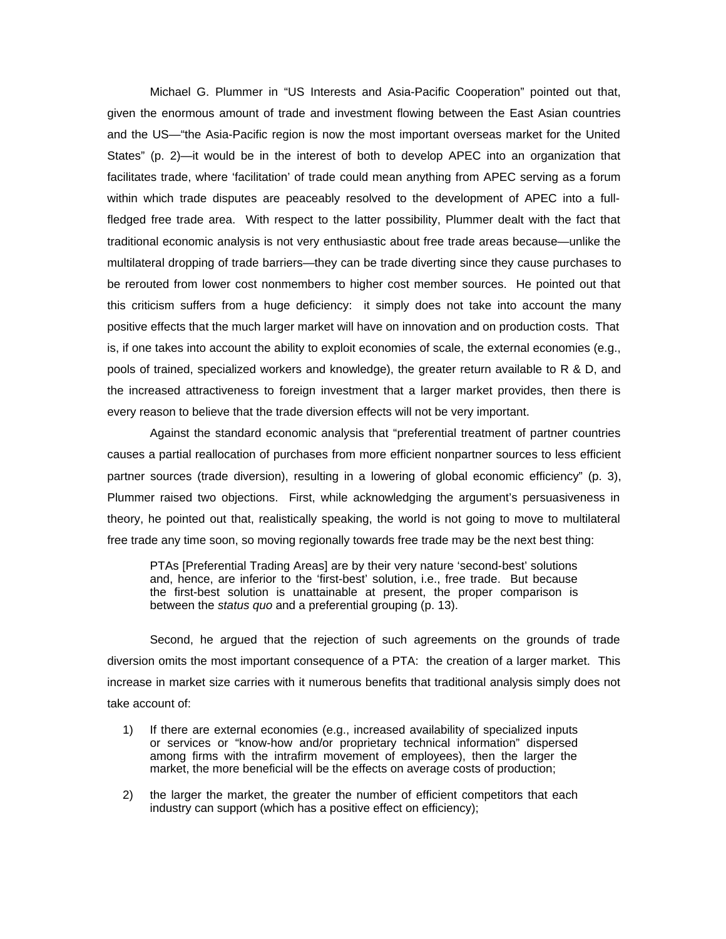Michael G. Plummer in "US Interests and Asia-Pacific Cooperation" pointed out that, given the enormous amount of trade and investment flowing between the East Asian countries and the US—"the Asia-Pacific region is now the most important overseas market for the United States" (p. 2)—it would be in the interest of both to develop APEC into an organization that facilitates trade, where 'facilitation' of trade could mean anything from APEC serving as a forum within which trade disputes are peaceably resolved to the development of APEC into a fullfledged free trade area. With respect to the latter possibility, Plummer dealt with the fact that traditional economic analysis is not very enthusiastic about free trade areas because—unlike the multilateral dropping of trade barriers—they can be trade diverting since they cause purchases to be rerouted from lower cost nonmembers to higher cost member sources. He pointed out that this criticism suffers from a huge deficiency: it simply does not take into account the many positive effects that the much larger market will have on innovation and on production costs. That is, if one takes into account the ability to exploit economies of scale, the external economies (e.g., pools of trained, specialized workers and knowledge), the greater return available to R & D, and the increased attractiveness to foreign investment that a larger market provides, then there is every reason to believe that the trade diversion effects will not be very important.

Against the standard economic analysis that "preferential treatment of partner countries causes a partial reallocation of purchases from more efficient nonpartner sources to less efficient partner sources (trade diversion), resulting in a lowering of global economic efficiency" (p. 3), Plummer raised two objections. First, while acknowledging the argument's persuasiveness in theory, he pointed out that, realistically speaking, the world is not going to move to multilateral free trade any time soon, so moving regionally towards free trade may be the next best thing:

PTAs [Preferential Trading Areas] are by their very nature 'second-best' solutions and, hence, are inferior to the 'first-best' solution, i.e., free trade. But because the first-best solution is unattainable at present, the proper comparison is between the *status quo* and a preferential grouping (p. 13).

Second, he argued that the rejection of such agreements on the grounds of trade diversion omits the most important consequence of a PTA: the creation of a larger market. This increase in market size carries with it numerous benefits that traditional analysis simply does not take account of:

- 1) If there are external economies (e.g., increased availability of specialized inputs or services or "know-how and/or proprietary technical information" dispersed among firms with the intrafirm movement of employees), then the larger the market, the more beneficial will be the effects on average costs of production;
- 2) the larger the market, the greater the number of efficient competitors that each industry can support (which has a positive effect on efficiency);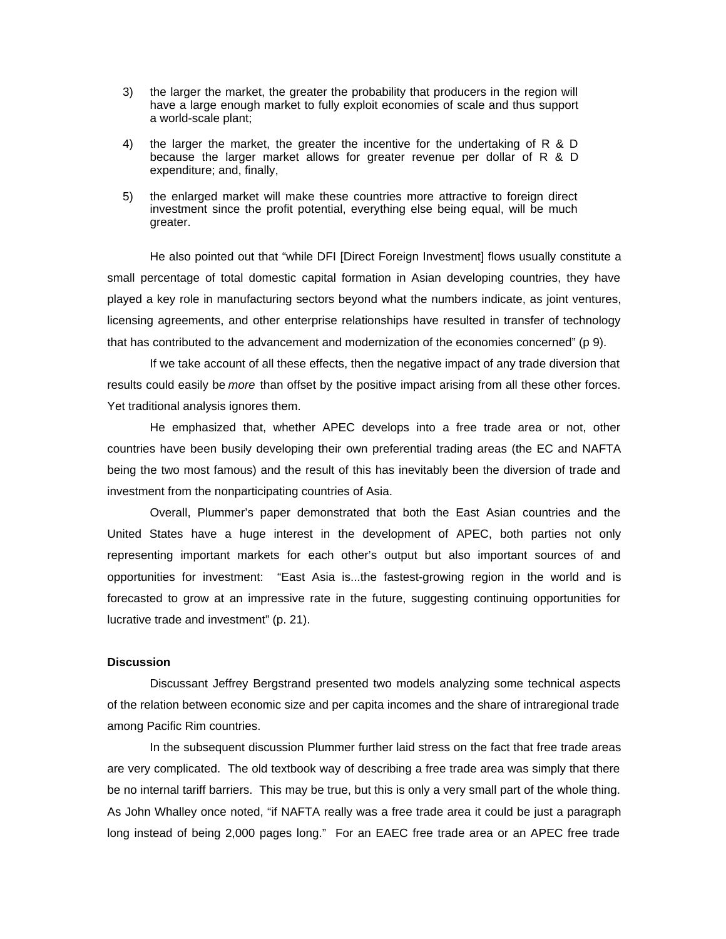- 3) the larger the market, the greater the probability that producers in the region will have a large enough market to fully exploit economies of scale and thus support a world-scale plant;
- 4) the larger the market, the greater the incentive for the undertaking of R & D because the larger market allows for greater revenue per dollar of R & D expenditure; and, finally,
- 5) the enlarged market will make these countries more attractive to foreign direct investment since the profit potential, everything else being equal, will be much greater.

He also pointed out that "while DFI [Direct Foreign Investment] flows usually constitute a small percentage of total domestic capital formation in Asian developing countries, they have played a key role in manufacturing sectors beyond what the numbers indicate, as joint ventures, licensing agreements, and other enterprise relationships have resulted in transfer of technology that has contributed to the advancement and modernization of the economies concerned" (p 9).

If we take account of all these effects, then the negative impact of any trade diversion that results could easily be *more* than offset by the positive impact arising from all these other forces. Yet traditional analysis ignores them.

He emphasized that, whether APEC develops into a free trade area or not, other countries have been busily developing their own preferential trading areas (the EC and NAFTA being the two most famous) and the result of this has inevitably been the diversion of trade and investment from the nonparticipating countries of Asia.

Overall, Plummer's paper demonstrated that both the East Asian countries and the United States have a huge interest in the development of APEC, both parties not only representing important markets for each other's output but also important sources of and opportunities for investment: "East Asia is...the fastest-growing region in the world and is forecasted to grow at an impressive rate in the future, suggesting continuing opportunities for lucrative trade and investment" (p. 21).

# **Discussion**

Discussant Jeffrey Bergstrand presented two models analyzing some technical aspects of the relation between economic size and per capita incomes and the share of intraregional trade among Pacific Rim countries.

In the subsequent discussion Plummer further laid stress on the fact that free trade areas are very complicated. The old textbook way of describing a free trade area was simply that there be no internal tariff barriers. This may be true, but this is only a very small part of the whole thing. As John Whalley once noted, "if NAFTA really was a free trade area it could be just a paragraph long instead of being 2,000 pages long." For an EAEC free trade area or an APEC free trade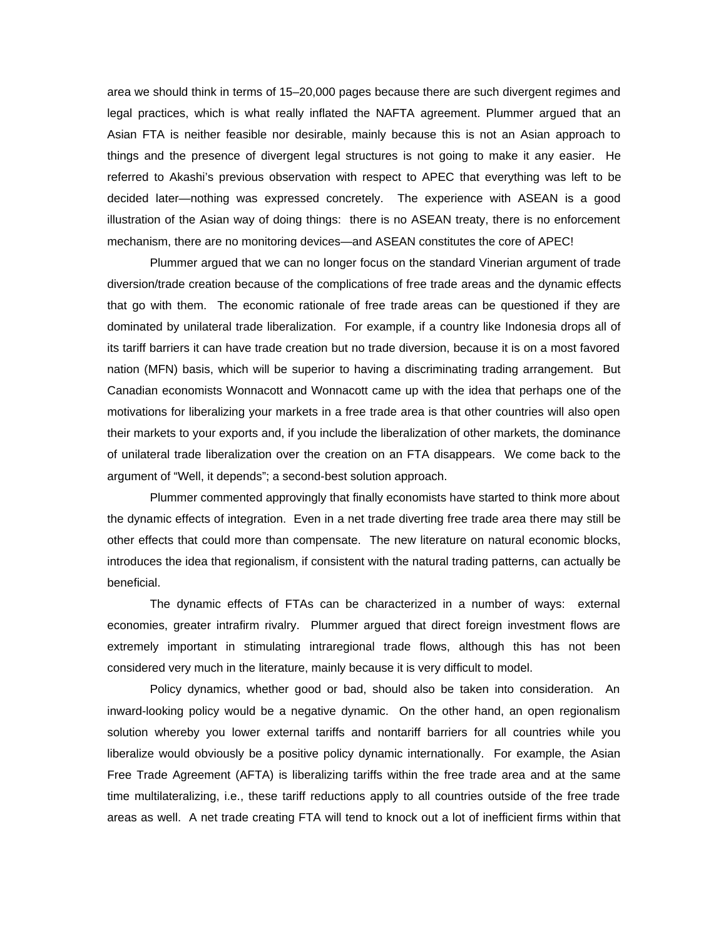area we should think in terms of 15–20,000 pages because there are such divergent regimes and legal practices, which is what really inflated the NAFTA agreement. Plummer argued that an Asian FTA is neither feasible nor desirable, mainly because this is not an Asian approach to things and the presence of divergent legal structures is not going to make it any easier. He referred to Akashi's previous observation with respect to APEC that everything was left to be decided later—nothing was expressed concretely. The experience with ASEAN is a good illustration of the Asian way of doing things: there is no ASEAN treaty, there is no enforcement mechanism, there are no monitoring devices—and ASEAN constitutes the core of APEC!

Plummer argued that we can no longer focus on the standard Vinerian argument of trade diversion/trade creation because of the complications of free trade areas and the dynamic effects that go with them. The economic rationale of free trade areas can be questioned if they are dominated by unilateral trade liberalization. For example, if a country like Indonesia drops all of its tariff barriers it can have trade creation but no trade diversion, because it is on a most favored nation (MFN) basis, which will be superior to having a discriminating trading arrangement. But Canadian economists Wonnacott and Wonnacott came up with the idea that perhaps one of the motivations for liberalizing your markets in a free trade area is that other countries will also open their markets to your exports and, if you include the liberalization of other markets, the dominance of unilateral trade liberalization over the creation on an FTA disappears. We come back to the argument of "Well, it depends"; a second-best solution approach.

Plummer commented approvingly that finally economists have started to think more about the dynamic effects of integration. Even in a net trade diverting free trade area there may still be other effects that could more than compensate. The new literature on natural economic blocks, introduces the idea that regionalism, if consistent with the natural trading patterns, can actually be beneficial.

The dynamic effects of FTAs can be characterized in a number of ways: external economies, greater intrafirm rivalry. Plummer argued that direct foreign investment flows are extremely important in stimulating intraregional trade flows, although this has not been considered very much in the literature, mainly because it is very difficult to model.

Policy dynamics, whether good or bad, should also be taken into consideration. An inward-looking policy would be a negative dynamic. On the other hand, an open regionalism solution whereby you lower external tariffs and nontariff barriers for all countries while you liberalize would obviously be a positive policy dynamic internationally. For example, the Asian Free Trade Agreement (AFTA) is liberalizing tariffs within the free trade area and at the same time multilateralizing, i.e., these tariff reductions apply to all countries outside of the free trade areas as well. A net trade creating FTA will tend to knock out a lot of inefficient firms within that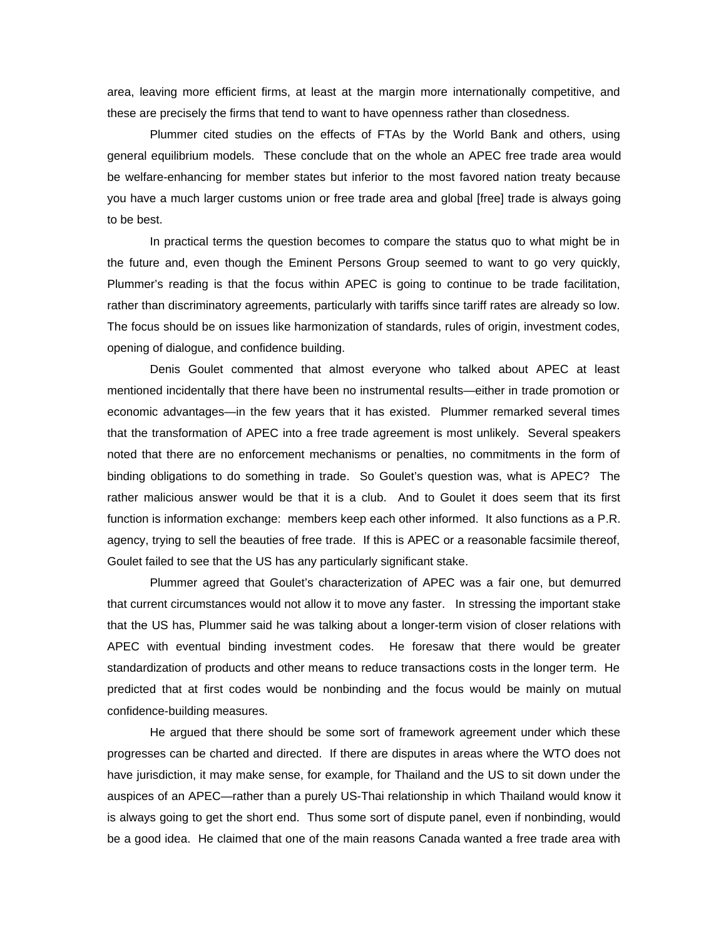area, leaving more efficient firms, at least at the margin more internationally competitive, and these are precisely the firms that tend to want to have openness rather than closedness.

Plummer cited studies on the effects of FTAs by the World Bank and others, using general equilibrium models. These conclude that on the whole an APEC free trade area would be welfare-enhancing for member states but inferior to the most favored nation treaty because you have a much larger customs union or free trade area and global [free] trade is always going to be best.

In practical terms the question becomes to compare the status quo to what might be in the future and, even though the Eminent Persons Group seemed to want to go very quickly, Plummer's reading is that the focus within APEC is going to continue to be trade facilitation, rather than discriminatory agreements, particularly with tariffs since tariff rates are already so low. The focus should be on issues like harmonization of standards, rules of origin, investment codes, opening of dialogue, and confidence building.

Denis Goulet commented that almost everyone who talked about APEC at least mentioned incidentally that there have been no instrumental results—either in trade promotion or economic advantages—in the few years that it has existed. Plummer remarked several times that the transformation of APEC into a free trade agreement is most unlikely. Several speakers noted that there are no enforcement mechanisms or penalties, no commitments in the form of binding obligations to do something in trade. So Goulet's question was, what is APEC? The rather malicious answer would be that it is a club. And to Goulet it does seem that its first function is information exchange: members keep each other informed. It also functions as a P.R. agency, trying to sell the beauties of free trade. If this is APEC or a reasonable facsimile thereof, Goulet failed to see that the US has any particularly significant stake.

Plummer agreed that Goulet's characterization of APEC was a fair one, but demurred that current circumstances would not allow it to move any faster. In stressing the important stake that the US has, Plummer said he was talking about a longer-term vision of closer relations with APEC with eventual binding investment codes. He foresaw that there would be greater standardization of products and other means to reduce transactions costs in the longer term. He predicted that at first codes would be nonbinding and the focus would be mainly on mutual confidence-building measures.

He argued that there should be some sort of framework agreement under which these progresses can be charted and directed. If there are disputes in areas where the WTO does not have jurisdiction, it may make sense, for example, for Thailand and the US to sit down under the auspices of an APEC—rather than a purely US-Thai relationship in which Thailand would know it is always going to get the short end. Thus some sort of dispute panel, even if nonbinding, would be a good idea. He claimed that one of the main reasons Canada wanted a free trade area with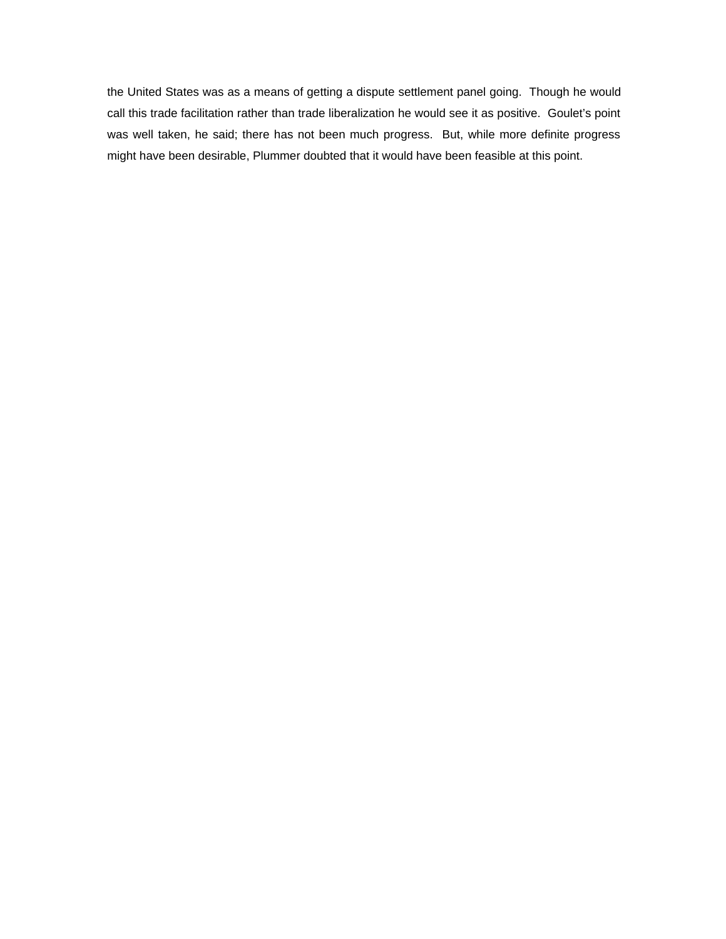the United States was as a means of getting a dispute settlement panel going. Though he would call this trade facilitation rather than trade liberalization he would see it as positive. Goulet's point was well taken, he said; there has not been much progress. But, while more definite progress might have been desirable, Plummer doubted that it would have been feasible at this point.